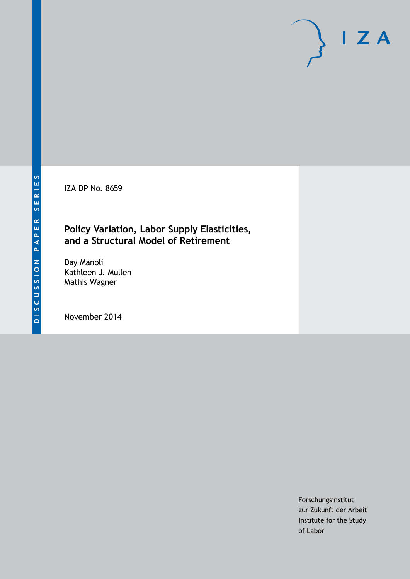IZA DP No. 8659

# **Policy Variation, Labor Supply Elasticities, and a Structural Model of Retirement**

Day Manoli Kathleen J. Mullen Mathis Wagner

November 2014

Forschungsinstitut zur Zukunft der Arbeit Institute for the Study of Labor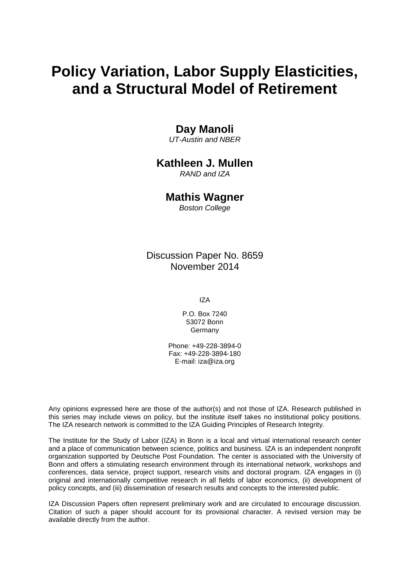# **Policy Variation, Labor Supply Elasticities, and a Structural Model of Retirement**

# **Day Manoli**

*UT-Austin and NBER*

## **Kathleen J. Mullen**

*RAND and IZA*

#### **Mathis Wagner**

*Boston College*

Discussion Paper No. 8659 November 2014

IZA

P.O. Box 7240 53072 Bonn Germany

Phone: +49-228-3894-0 Fax: +49-228-3894-180 E-mail: [iza@iza.org](mailto:iza@iza.org)

Any opinions expressed here are those of the author(s) and not those of IZA. Research published in this series may include views on policy, but the institute itself takes no institutional policy positions. The IZA research network is committed to the IZA Guiding Principles of Research Integrity.

The Institute for the Study of Labor (IZA) in Bonn is a local and virtual international research center and a place of communication between science, politics and business. IZA is an independent nonprofit organization supported by Deutsche Post Foundation. The center is associated with the University of Bonn and offers a stimulating research environment through its international network, workshops and conferences, data service, project support, research visits and doctoral program. IZA engages in (i) original and internationally competitive research in all fields of labor economics, (ii) development of policy concepts, and (iii) dissemination of research results and concepts to the interested public.

<span id="page-1-0"></span>IZA Discussion Papers often represent preliminary work and are circulated to encourage discussion. Citation of such a paper should account for its provisional character. A revised version may be available directly from the author.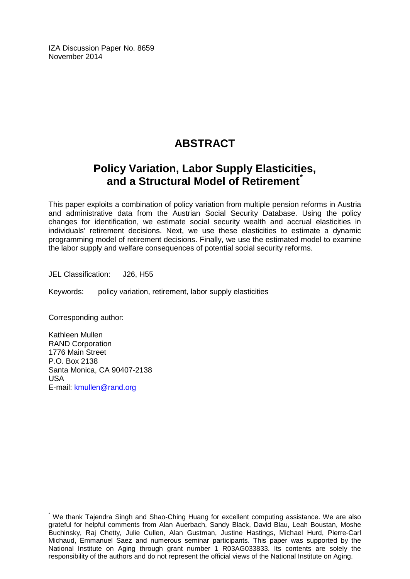IZA Discussion Paper No. 8659 November 2014

# **ABSTRACT**

# **Policy Variation, Labor Supply Elasticities, and a Structural Model of Retirement[\\*](#page-1-0)**

This paper exploits a combination of policy variation from multiple pension reforms in Austria and administrative data from the Austrian Social Security Database. Using the policy changes for identification, we estimate social security wealth and accrual elasticities in individuals' retirement decisions. Next, we use these elasticities to estimate a dynamic programming model of retirement decisions. Finally, we use the estimated model to examine the labor supply and welfare consequences of potential social security reforms.

JEL Classification: J26, H55

Keywords: policy variation, retirement, labor supply elasticities

Corresponding author:

Kathleen Mullen RAND Corporation 1776 Main Street P.O. Box 2138 Santa Monica, CA 90407-2138 USA E-mail: [kmullen@rand.org](mailto:kmullen@rand.org)

We thank Tajendra Singh and Shao-Ching Huang for excellent computing assistance. We are also grateful for helpful comments from Alan Auerbach, Sandy Black, David Blau, Leah Boustan, Moshe Buchinsky, Raj Chetty, Julie Cullen, Alan Gustman, Justine Hastings, Michael Hurd, Pierre-Carl Michaud, Emmanuel Saez and numerous seminar participants. This paper was supported by the National Institute on Aging through grant number 1 R03AG033833. Its contents are solely the responsibility of the authors and do not represent the official views of the National Institute on Aging.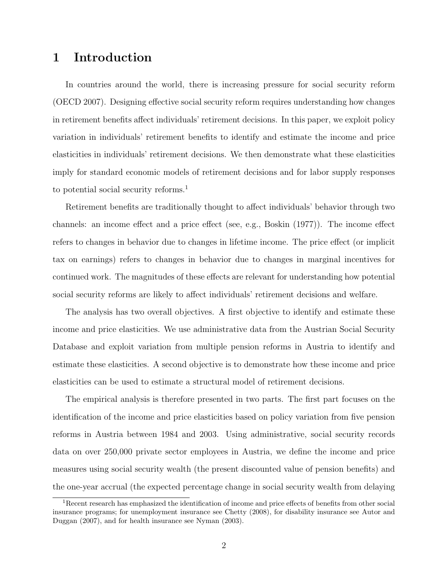# 1 Introduction

In countries around the world, there is increasing pressure for social security reform (OECD 2007). Designing effective social security reform requires understanding how changes in retirement benefits affect individuals' retirement decisions. In this paper, we exploit policy variation in individuals' retirement benefits to identify and estimate the income and price elasticities in individuals' retirement decisions. We then demonstrate what these elasticities imply for standard economic models of retirement decisions and for labor supply responses to potential social security reforms.<sup>1</sup>

Retirement benefits are traditionally thought to affect individuals' behavior through two channels: an income effect and a price effect (see, e.g., Boskin (1977)). The income effect refers to changes in behavior due to changes in lifetime income. The price effect (or implicit tax on earnings) refers to changes in behavior due to changes in marginal incentives for continued work. The magnitudes of these effects are relevant for understanding how potential social security reforms are likely to affect individuals' retirement decisions and welfare.

The analysis has two overall objectives. A first objective to identify and estimate these income and price elasticities. We use administrative data from the Austrian Social Security Database and exploit variation from multiple pension reforms in Austria to identify and estimate these elasticities. A second objective is to demonstrate how these income and price elasticities can be used to estimate a structural model of retirement decisions.

The empirical analysis is therefore presented in two parts. The first part focuses on the identification of the income and price elasticities based on policy variation from five pension reforms in Austria between 1984 and 2003. Using administrative, social security records data on over 250,000 private sector employees in Austria, we define the income and price measures using social security wealth (the present discounted value of pension benefits) and the one-year accrual (the expected percentage change in social security wealth from delaying

<sup>1</sup>Recent research has emphasized the identification of income and price effects of benefits from other social insurance programs; for unemployment insurance see Chetty (2008), for disability insurance see Autor and Duggan (2007), and for health insurance see Nyman (2003).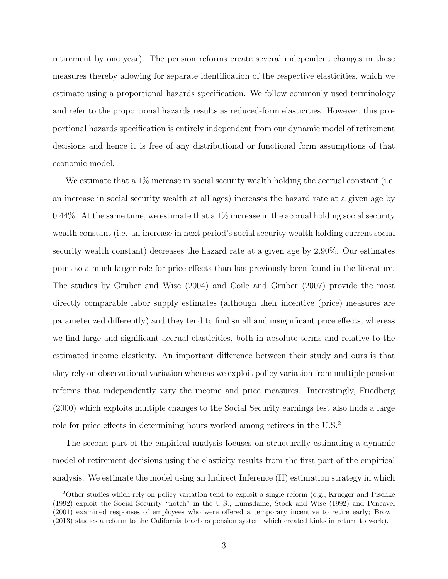retirement by one year). The pension reforms create several independent changes in these measures thereby allowing for separate identification of the respective elasticities, which we estimate using a proportional hazards specification. We follow commonly used terminology and refer to the proportional hazards results as reduced-form elasticities. However, this proportional hazards specification is entirely independent from our dynamic model of retirement decisions and hence it is free of any distributional or functional form assumptions of that economic model.

We estimate that a  $1\%$  increase in social security wealth holding the accrual constant (i.e. an increase in social security wealth at all ages) increases the hazard rate at a given age by 0.44%. At the same time, we estimate that a  $1\%$  increase in the accrual holding social security wealth constant (i.e. an increase in next period's social security wealth holding current social security wealth constant) decreases the hazard rate at a given age by 2.90%. Our estimates point to a much larger role for price effects than has previously been found in the literature. The studies by Gruber and Wise (2004) and Coile and Gruber (2007) provide the most directly comparable labor supply estimates (although their incentive (price) measures are parameterized differently) and they tend to find small and insignificant price effects, whereas we find large and significant accrual elasticities, both in absolute terms and relative to the estimated income elasticity. An important difference between their study and ours is that they rely on observational variation whereas we exploit policy variation from multiple pension reforms that independently vary the income and price measures. Interestingly, Friedberg (2000) which exploits multiple changes to the Social Security earnings test also finds a large role for price effects in determining hours worked among retirees in the U.S.<sup>2</sup>

The second part of the empirical analysis focuses on structurally estimating a dynamic model of retirement decisions using the elasticity results from the first part of the empirical analysis. We estimate the model using an Indirect Inference (II) estimation strategy in which

<sup>2</sup>Other studies which rely on policy variation tend to exploit a single reform (e.g., Krueger and Pischke (1992) exploit the Social Security "notch" in the U.S.; Lumsdaine, Stock and Wise (1992) and Pencavel (2001) examined responses of employees who were offered a temporary incentive to retire early; Brown (2013) studies a reform to the California teachers pension system which created kinks in return to work).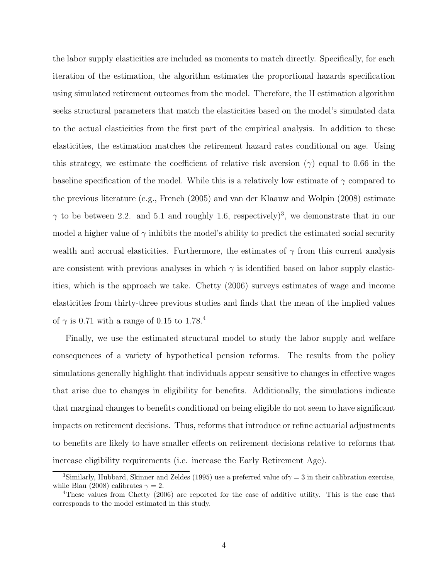the labor supply elasticities are included as moments to match directly. Specifically, for each iteration of the estimation, the algorithm estimates the proportional hazards specification using simulated retirement outcomes from the model. Therefore, the II estimation algorithm seeks structural parameters that match the elasticities based on the model's simulated data to the actual elasticities from the first part of the empirical analysis. In addition to these elasticities, the estimation matches the retirement hazard rates conditional on age. Using this strategy, we estimate the coefficient of relative risk aversion  $(\gamma)$  equal to 0.66 in the baseline specification of the model. While this is a relatively low estimate of  $\gamma$  compared to the previous literature (e.g., French (2005) and van der Klaauw and Wolpin (2008) estimate  $\gamma$  to be between 2.2. and 5.1 and roughly 1.6, respectively)<sup>3</sup>, we demonstrate that in our model a higher value of  $\gamma$  inhibits the model's ability to predict the estimated social security wealth and accrual elasticities. Furthermore, the estimates of  $\gamma$  from this current analysis are consistent with previous analyses in which  $\gamma$  is identified based on labor supply elasticities, which is the approach we take. Chetty (2006) surveys estimates of wage and income elasticities from thirty-three previous studies and finds that the mean of the implied values of  $\gamma$  is 0.71 with a range of 0.15 to 1.78.<sup>4</sup>

Finally, we use the estimated structural model to study the labor supply and welfare consequences of a variety of hypothetical pension reforms. The results from the policy simulations generally highlight that individuals appear sensitive to changes in effective wages that arise due to changes in eligibility for benefits. Additionally, the simulations indicate that marginal changes to benefits conditional on being eligible do not seem to have significant impacts on retirement decisions. Thus, reforms that introduce or refine actuarial adjustments to benefits are likely to have smaller effects on retirement decisions relative to reforms that increase eligibility requirements (i.e. increase the Early Retirement Age).

<sup>&</sup>lt;sup>3</sup>Similarly, Hubbard, Skinner and Zeldes (1995) use a preferred value of  $\gamma = 3$  in their calibration exercise, while Blau (2008) calibrates  $\gamma = 2$ .

<sup>4</sup>These values from Chetty (2006) are reported for the case of additive utility. This is the case that corresponds to the model estimated in this study.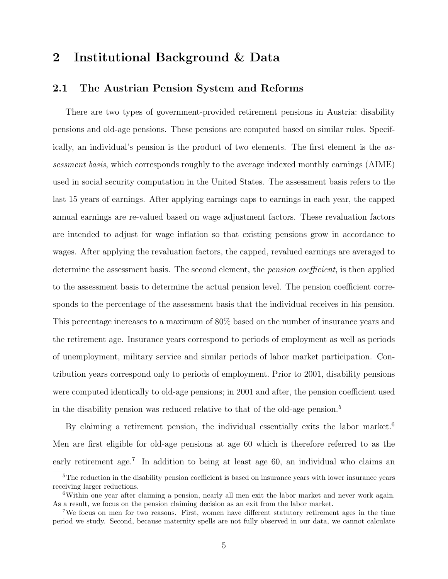# 2 Institutional Background & Data

#### 2.1 The Austrian Pension System and Reforms

There are two types of government-provided retirement pensions in Austria: disability pensions and old-age pensions. These pensions are computed based on similar rules. Specifically, an individual's pension is the product of two elements. The first element is the assessment basis, which corresponds roughly to the average indexed monthly earnings (AIME) used in social security computation in the United States. The assessment basis refers to the last 15 years of earnings. After applying earnings caps to earnings in each year, the capped annual earnings are re-valued based on wage adjustment factors. These revaluation factors are intended to adjust for wage inflation so that existing pensions grow in accordance to wages. After applying the revaluation factors, the capped, revalued earnings are averaged to determine the assessment basis. The second element, the *pension coefficient*, is then applied to the assessment basis to determine the actual pension level. The pension coefficient corresponds to the percentage of the assessment basis that the individual receives in his pension. This percentage increases to a maximum of 80% based on the number of insurance years and the retirement age. Insurance years correspond to periods of employment as well as periods of unemployment, military service and similar periods of labor market participation. Contribution years correspond only to periods of employment. Prior to 2001, disability pensions were computed identically to old-age pensions; in 2001 and after, the pension coefficient used in the disability pension was reduced relative to that of the old-age pension.<sup>5</sup>

By claiming a retirement pension, the individual essentially exits the labor market.<sup>6</sup> Men are first eligible for old-age pensions at age 60 which is therefore referred to as the early retirement age.<sup>7</sup> In addition to being at least age 60, an individual who claims an

<sup>5</sup>The reduction in the disability pension coefficient is based on insurance years with lower insurance years receiving larger reductions.

<sup>6</sup>Within one year after claiming a pension, nearly all men exit the labor market and never work again. As a result, we focus on the pension claiming decision as an exit from the labor market.

<sup>7</sup>We focus on men for two reasons. First, women have different statutory retirement ages in the time period we study. Second, because maternity spells are not fully observed in our data, we cannot calculate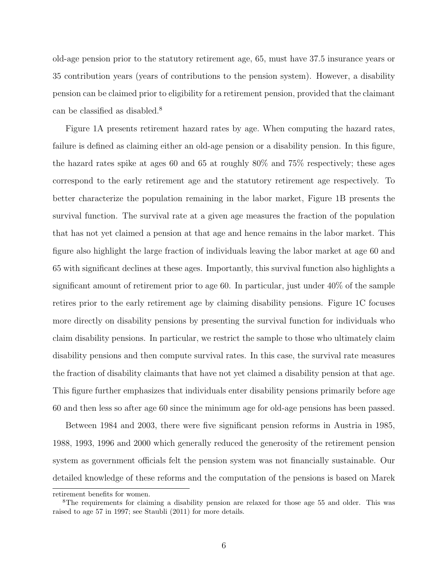old-age pension prior to the statutory retirement age, 65, must have 37.5 insurance years or 35 contribution years (years of contributions to the pension system). However, a disability pension can be claimed prior to eligibility for a retirement pension, provided that the claimant can be classified as disabled.<sup>8</sup>

Figure 1A presents retirement hazard rates by age. When computing the hazard rates, failure is defined as claiming either an old-age pension or a disability pension. In this figure, the hazard rates spike at ages 60 and 65 at roughly 80% and 75% respectively; these ages correspond to the early retirement age and the statutory retirement age respectively. To better characterize the population remaining in the labor market, Figure 1B presents the survival function. The survival rate at a given age measures the fraction of the population that has not yet claimed a pension at that age and hence remains in the labor market. This figure also highlight the large fraction of individuals leaving the labor market at age 60 and 65 with significant declines at these ages. Importantly, this survival function also highlights a significant amount of retirement prior to age 60. In particular, just under 40% of the sample retires prior to the early retirement age by claiming disability pensions. Figure 1C focuses more directly on disability pensions by presenting the survival function for individuals who claim disability pensions. In particular, we restrict the sample to those who ultimately claim disability pensions and then compute survival rates. In this case, the survival rate measures the fraction of disability claimants that have not yet claimed a disability pension at that age. This figure further emphasizes that individuals enter disability pensions primarily before age 60 and then less so after age 60 since the minimum age for old-age pensions has been passed.

Between 1984 and 2003, there were five significant pension reforms in Austria in 1985, 1988, 1993, 1996 and 2000 which generally reduced the generosity of the retirement pension system as government officials felt the pension system was not financially sustainable. Our detailed knowledge of these reforms and the computation of the pensions is based on Marek

retirement benefits for women.

<sup>&</sup>lt;sup>8</sup>The requirements for claiming a disability pension are relaxed for those age 55 and older. This was raised to age 57 in 1997; see Staubli (2011) for more details.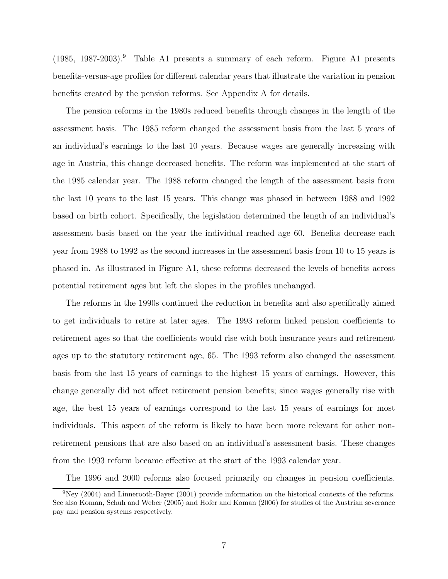(1985, 1987-2003).<sup>9</sup> Table A1 presents a summary of each reform. Figure A1 presents benefits-versus-age profiles for different calendar years that illustrate the variation in pension benefits created by the pension reforms. See Appendix A for details.

The pension reforms in the 1980s reduced benefits through changes in the length of the assessment basis. The 1985 reform changed the assessment basis from the last 5 years of an individual's earnings to the last 10 years. Because wages are generally increasing with age in Austria, this change decreased benefits. The reform was implemented at the start of the 1985 calendar year. The 1988 reform changed the length of the assessment basis from the last 10 years to the last 15 years. This change was phased in between 1988 and 1992 based on birth cohort. Specifically, the legislation determined the length of an individual's assessment basis based on the year the individual reached age 60. Benefits decrease each year from 1988 to 1992 as the second increases in the assessment basis from 10 to 15 years is phased in. As illustrated in Figure A1, these reforms decreased the levels of benefits across potential retirement ages but left the slopes in the profiles unchanged.

The reforms in the 1990s continued the reduction in benefits and also specifically aimed to get individuals to retire at later ages. The 1993 reform linked pension coefficients to retirement ages so that the coefficients would rise with both insurance years and retirement ages up to the statutory retirement age, 65. The 1993 reform also changed the assessment basis from the last 15 years of earnings to the highest 15 years of earnings. However, this change generally did not affect retirement pension benefits; since wages generally rise with age, the best 15 years of earnings correspond to the last 15 years of earnings for most individuals. This aspect of the reform is likely to have been more relevant for other nonretirement pensions that are also based on an individual's assessment basis. These changes from the 1993 reform became effective at the start of the 1993 calendar year.

The 1996 and 2000 reforms also focused primarily on changes in pension coefficients.

 $9Ney (2004)$  and Linnerooth-Bayer (2001) provide information on the historical contexts of the reforms. See also Koman, Schuh and Weber (2005) and Hofer and Koman (2006) for studies of the Austrian severance pay and pension systems respectively.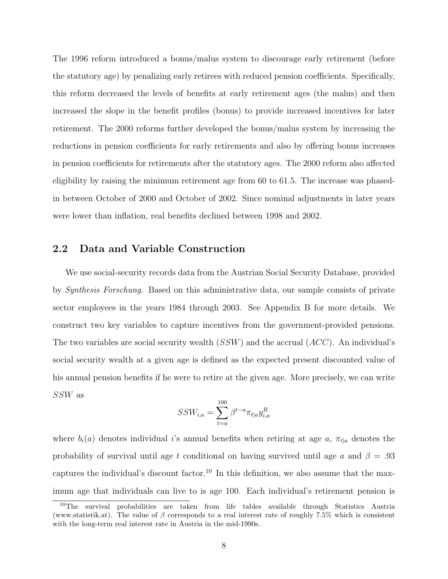The 1996 reform introduced a bonus/malus system to discourage early retirement (before the statutory age) by penalizing early retirees with reduced pension coefficients. Specifically, this reform decreased the levels of benefits at early retirement ages (the malus) and then increased the slope in the benefit profiles (bonus) to provide increased incentives for later retirement. The 2000 reforms further developed the bonus/malus system by increasing the reductions in pension coefficients for early retirements and also by offering bonus increases in pension coefficients for retirements after the statutory ages. The 2000 reform also affected eligibility by raising the minimum retirement age from 60 to 61.5. The increase was phasedin between October of 2000 and October of 2002. Since nominal adjustments in later years were lower than inflation, real benefits declined between 1998 and 2002.

#### 2.2 Data and Variable Construction

We use social-security records data from the Austrian Social Security Database, provided by Synthesis Forschung. Based on this administrative data, our sample consists of private sector employees in the years 1984 through 2003. See Appendix B for more details. We construct two key variables to capture incentives from the government-provided pensions. The two variables are social security wealth  $(SSW)$  and the accrual  $(ACC)$ . An individual's social security wealth at a given age is defined as the expected present discounted value of his annual pension benefits if he were to retire at the given age. More precisely, we can write SSW as

$$
SSW_{i,a} = \sum_{t=a}^{100} \beta^{t-a} \pi_{t|a} y_{i,a}^R
$$

where  $b_i(a)$  denotes individual i's annual benefits when retiring at age a,  $\pi_{t|a}$  denotes the probability of survival until age t conditional on having survived until age a and  $\beta = .93$ captures the individual's discount factor.<sup>10</sup> In this definition, we also assume that the maximum age that individuals can live to is age 100. Each individual's retirement pension is

<sup>10</sup>The survival probabilities are taken from life tables available through Statistics Austria (www.statistik.at). The value of  $\beta$  corresponds to a real interest rate of roughly 7.5% which is consistent with the long-term real interest rate in Austria in the mid-1990s.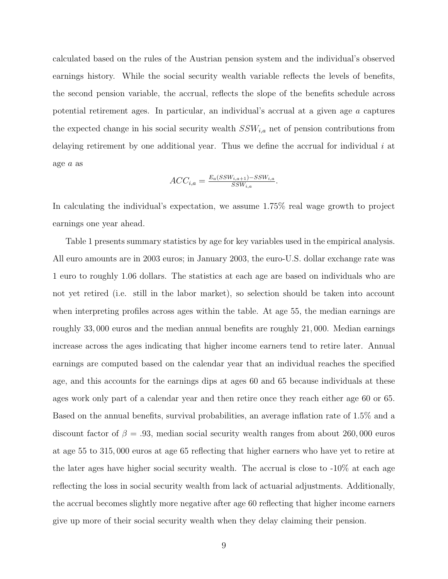calculated based on the rules of the Austrian pension system and the individual's observed earnings history. While the social security wealth variable reflects the levels of benefits, the second pension variable, the accrual, reflects the slope of the benefits schedule across potential retirement ages. In particular, an individual's accrual at a given age a captures the expected change in his social security wealth  $SSW_{i,a}$  net of pension contributions from delaying retirement by one additional year. Thus we define the accrual for individual  $i$  at age a as

$$
ACC_{i,a} = \frac{E_a(SSW_{i,a+1}) - SSW_{i,a}}{SSW_{i,a}}.
$$

In calculating the individual's expectation, we assume 1.75% real wage growth to project earnings one year ahead.

Table 1 presents summary statistics by age for key variables used in the empirical analysis. All euro amounts are in 2003 euros; in January 2003, the euro-U.S. dollar exchange rate was 1 euro to roughly 1.06 dollars. The statistics at each age are based on individuals who are not yet retired (i.e. still in the labor market), so selection should be taken into account when interpreting profiles across ages within the table. At age 55, the median earnings are roughly 33, 000 euros and the median annual benefits are roughly 21, 000. Median earnings increase across the ages indicating that higher income earners tend to retire later. Annual earnings are computed based on the calendar year that an individual reaches the specified age, and this accounts for the earnings dips at ages 60 and 65 because individuals at these ages work only part of a calendar year and then retire once they reach either age 60 or 65. Based on the annual benefits, survival probabilities, an average inflation rate of 1.5% and a discount factor of  $\beta = .93$ , median social security wealth ranges from about 260,000 euros at age 55 to 315, 000 euros at age 65 reflecting that higher earners who have yet to retire at the later ages have higher social security wealth. The accrual is close to -10% at each age reflecting the loss in social security wealth from lack of actuarial adjustments. Additionally, the accrual becomes slightly more negative after age 60 reflecting that higher income earners give up more of their social security wealth when they delay claiming their pension.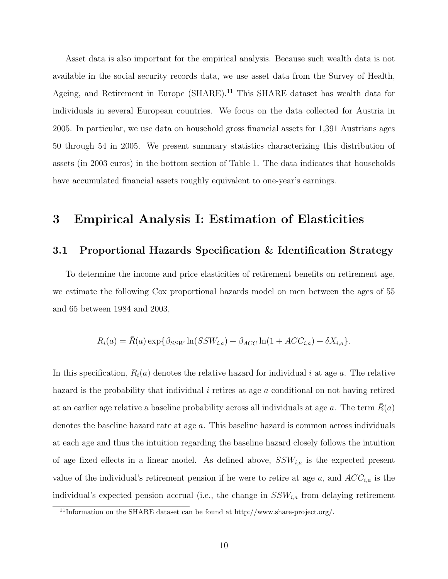Asset data is also important for the empirical analysis. Because such wealth data is not available in the social security records data, we use asset data from the Survey of Health, Ageing, and Retirement in Europe (SHARE).<sup>11</sup> This SHARE dataset has wealth data for individuals in several European countries. We focus on the data collected for Austria in 2005. In particular, we use data on household gross financial assets for 1,391 Austrians ages 50 through 54 in 2005. We present summary statistics characterizing this distribution of assets (in 2003 euros) in the bottom section of Table 1. The data indicates that households have accumulated financial assets roughly equivalent to one-year's earnings.

### 3 Empirical Analysis I: Estimation of Elasticities

#### 3.1 Proportional Hazards Specification & Identification Strategy

To determine the income and price elasticities of retirement benefits on retirement age, we estimate the following Cox proportional hazards model on men between the ages of 55 and 65 between 1984 and 2003,

$$
R_i(a) = \bar{R}(a) \exp\{\beta_{SSW} \ln(SSW_{i,a}) + \beta_{ACC} \ln(1 + ACC_{i,a}) + \delta X_{i,a}\}.
$$

In this specification,  $R_i(a)$  denotes the relative hazard for individual i at age a. The relative hazard is the probability that individual i retires at age a conditional on not having retired at an earlier age relative a baseline probability across all individuals at age a. The term  $R(a)$ denotes the baseline hazard rate at age a. This baseline hazard is common across individuals at each age and thus the intuition regarding the baseline hazard closely follows the intuition of age fixed effects in a linear model. As defined above,  $SSW_{i,a}$  is the expected present value of the individual's retirement pension if he were to retire at age  $a$ , and  $ACC_{i,a}$  is the individual's expected pension accrual (i.e., the change in  $SSW_{i,a}$  from delaying retirement

<sup>&</sup>lt;sup>11</sup>Information on the SHARE dataset can be found at http://www.share-project.org/.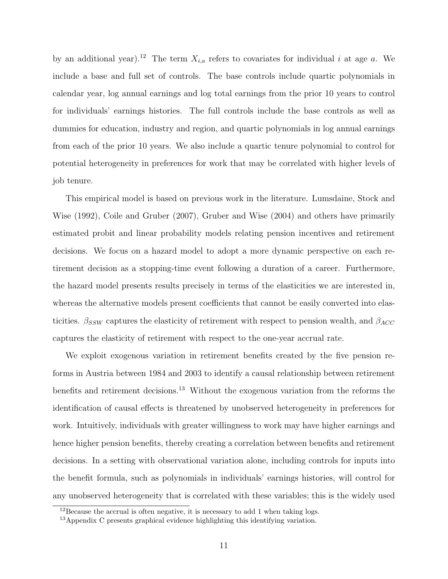by an additional year).<sup>12</sup> The term  $X_{i,a}$  refers to covariates for individual i at age a. We include a base and full set of controls. The base controls include quartic polynomials in calendar year, log annual earnings and log total earnings from the prior 10 years to control for individuals' earnings histories. The full controls include the base controls as well as dummies for education, industry and region, and quartic polynomials in log annual earnings from each of the prior 10 years. We also include a quartic tenure polynomial to control for potential heterogeneity in preferences for work that may be correlated with higher levels of job tenure.

This empirical model is based on previous work in the literature. Lumsdaine, Stock and Wise (1992), Coile and Gruber (2007), Gruber and Wise (2004) and others have primarily estimated probit and linear probability models relating pension incentives and retirement decisions. We focus on a hazard model to adopt a more dynamic perspective on each retirement decision as a stopping-time event following a duration of a career. Furthermore, the hazard model presents results precisely in terms of the elasticities we are interested in, whereas the alternative models present coefficients that cannot be easily converted into elasticities.  $\beta_{SSW}$  captures the elasticity of retirement with respect to pension wealth, and  $\beta_{ACC}$ captures the elasticity of retirement with respect to the one-year accrual rate.

We exploit exogenous variation in retirement benefits created by the five pension reforms in Austria between 1984 and 2003 to identify a causal relationship between retirement benefits and retirement decisions.<sup>13</sup> Without the exogenous variation from the reforms the identification of causal effects is threatened by unobserved heterogeneity in preferences for work. Intuitively, individuals with greater willingness to work may have higher earnings and hence higher pension benefits, thereby creating a correlation between benefits and retirement decisions. In a setting with observational variation alone, including controls for inputs into the benefit formula, such as polynomials in individuals' earnings histories, will control for any unobserved heterogeneity that is correlated with these variables; this is the widely used

 $12$ Because the accrual is often negative, it is necessary to add 1 when taking logs.

 $13$ Appendix C presents graphical evidence highlighting this identifying variation.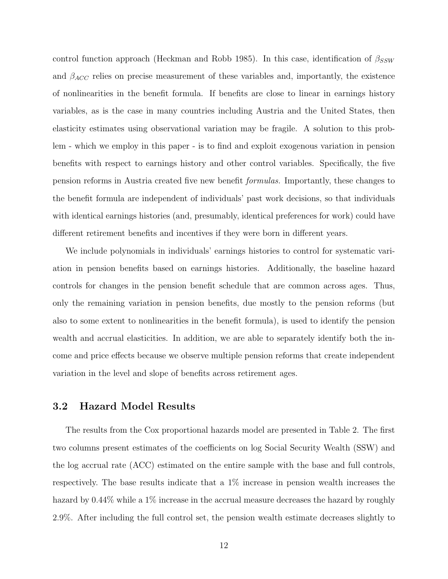control function approach (Heckman and Robb 1985). In this case, identification of  $\beta_{SSW}$ and  $\beta_{ACC}$  relies on precise measurement of these variables and, importantly, the existence of nonlinearities in the benefit formula. If benefits are close to linear in earnings history variables, as is the case in many countries including Austria and the United States, then elasticity estimates using observational variation may be fragile. A solution to this problem - which we employ in this paper - is to find and exploit exogenous variation in pension benefits with respect to earnings history and other control variables. Specifically, the five pension reforms in Austria created five new benefit formulas. Importantly, these changes to the benefit formula are independent of individuals' past work decisions, so that individuals with identical earnings histories (and, presumably, identical preferences for work) could have different retirement benefits and incentives if they were born in different years.

We include polynomials in individuals' earnings histories to control for systematic variation in pension benefits based on earnings histories. Additionally, the baseline hazard controls for changes in the pension benefit schedule that are common across ages. Thus, only the remaining variation in pension benefits, due mostly to the pension reforms (but also to some extent to nonlinearities in the benefit formula), is used to identify the pension wealth and accrual elasticities. In addition, we are able to separately identify both the income and price effects because we observe multiple pension reforms that create independent variation in the level and slope of benefits across retirement ages.

#### 3.2 Hazard Model Results

The results from the Cox proportional hazards model are presented in Table 2. The first two columns present estimates of the coefficients on log Social Security Wealth (SSW) and the log accrual rate (ACC) estimated on the entire sample with the base and full controls, respectively. The base results indicate that a 1% increase in pension wealth increases the hazard by  $0.44\%$  while a 1% increase in the accrual measure decreases the hazard by roughly 2.9%. After including the full control set, the pension wealth estimate decreases slightly to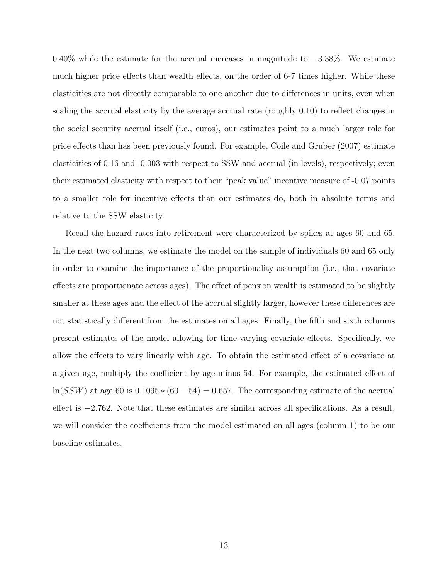0.40% while the estimate for the accrual increases in magnitude to  $-3.38\%$ . We estimate much higher price effects than wealth effects, on the order of 6-7 times higher. While these elasticities are not directly comparable to one another due to differences in units, even when scaling the accrual elasticity by the average accrual rate (roughly 0.10) to reflect changes in the social security accrual itself (i.e., euros), our estimates point to a much larger role for price effects than has been previously found. For example, Coile and Gruber (2007) estimate elasticities of 0.16 and -0.003 with respect to SSW and accrual (in levels), respectively; even their estimated elasticity with respect to their "peak value" incentive measure of -0.07 points to a smaller role for incentive effects than our estimates do, both in absolute terms and relative to the SSW elasticity.

Recall the hazard rates into retirement were characterized by spikes at ages 60 and 65. In the next two columns, we estimate the model on the sample of individuals 60 and 65 only in order to examine the importance of the proportionality assumption (i.e., that covariate effects are proportionate across ages). The effect of pension wealth is estimated to be slightly smaller at these ages and the effect of the accrual slightly larger, however these differences are not statistically different from the estimates on all ages. Finally, the fifth and sixth columns present estimates of the model allowing for time-varying covariate effects. Specifically, we allow the effects to vary linearly with age. To obtain the estimated effect of a covariate at a given age, multiply the coefficient by age minus 54. For example, the estimated effect of  $ln(SSW)$  at age 60 is  $0.1095 * (60 - 54) = 0.657$ . The corresponding estimate of the accrual effect is −2.762. Note that these estimates are similar across all specifications. As a result, we will consider the coefficients from the model estimated on all ages (column 1) to be our baseline estimates.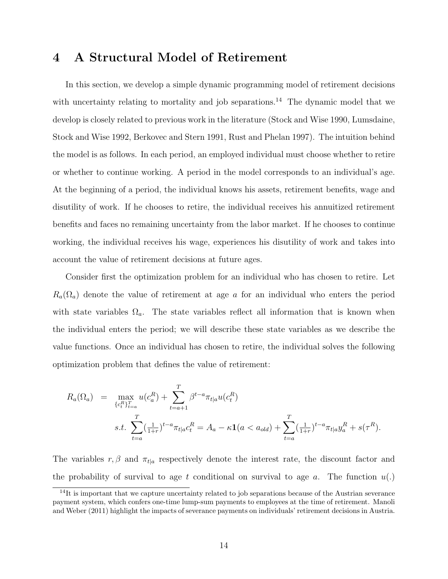# 4 A Structural Model of Retirement

In this section, we develop a simple dynamic programming model of retirement decisions with uncertainty relating to mortality and job separations.<sup>14</sup> The dynamic model that we develop is closely related to previous work in the literature (Stock and Wise 1990, Lumsdaine, Stock and Wise 1992, Berkovec and Stern 1991, Rust and Phelan 1997). The intuition behind the model is as follows. In each period, an employed individual must choose whether to retire or whether to continue working. A period in the model corresponds to an individual's age. At the beginning of a period, the individual knows his assets, retirement benefits, wage and disutility of work. If he chooses to retire, the individual receives his annuitized retirement benefits and faces no remaining uncertainty from the labor market. If he chooses to continue working, the individual receives his wage, experiences his disutility of work and takes into account the value of retirement decisions at future ages.

Consider first the optimization problem for an individual who has chosen to retire. Let  $R_a(\Omega_a)$  denote the value of retirement at age a for an individual who enters the period with state variables  $\Omega_a$ . The state variables reflect all information that is known when the individual enters the period; we will describe these state variables as we describe the value functions. Once an individual has chosen to retire, the individual solves the following optimization problem that defines the value of retirement:

$$
R_a(\Omega_a) = \max_{\{c_t^R\}_{t=a}^T} u(c_a^R) + \sum_{t=a+1}^T \beta^{t-a} \pi_{t|a} u(c_t^R)
$$
  
s.t. 
$$
\sum_{t=a}^T (\frac{1}{1+r})^{t-a} \pi_{t|a} c_t^R = A_a - \kappa \mathbf{1}(a < a_{old}) + \sum_{t=a}^T (\frac{1}{1+r})^{t-a} \pi_{t|a} y_a^R + s(\tau^R).
$$

The variables  $r, \beta$  and  $\pi_{t|a}$  respectively denote the interest rate, the discount factor and the probability of survival to age t conditional on survival to age a. The function  $u(.)$ 

<sup>&</sup>lt;sup>14</sup>It is important that we capture uncertainty related to job separations because of the Austrian severance payment system, which confers one-time lump-sum payments to employees at the time of retirement. Manoli and Weber (2011) highlight the impacts of severance payments on individuals' retirement decisions in Austria.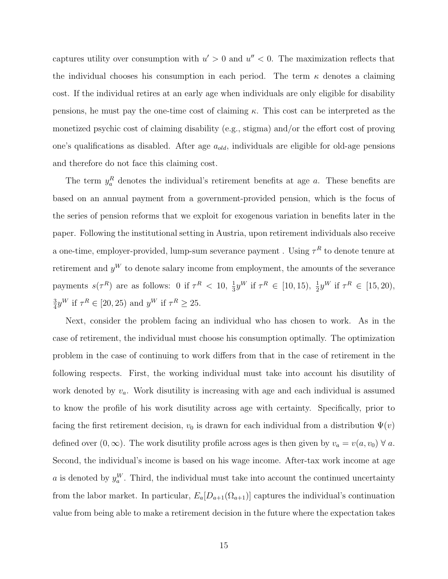captures utility over consumption with  $u' > 0$  and  $u'' < 0$ . The maximization reflects that the individual chooses his consumption in each period. The term  $\kappa$  denotes a claiming cost. If the individual retires at an early age when individuals are only eligible for disability pensions, he must pay the one-time cost of claiming  $\kappa$ . This cost can be interpreted as the monetized psychic cost of claiming disability (e.g., stigma) and/or the effort cost of proving one's qualifications as disabled. After age  $a_{old}$ , individuals are eligible for old-age pensions and therefore do not face this claiming cost.

The term  $y_a^R$  denotes the individual's retirement benefits at age a. These benefits are based on an annual payment from a government-provided pension, which is the focus of the series of pension reforms that we exploit for exogenous variation in benefits later in the paper. Following the institutional setting in Austria, upon retirement individuals also receive a one-time, employer-provided, lump-sum severance payment . Using  $\tau^R$  to denote tenure at retirement and  $y^W$  to denote salary income from employment, the amounts of the severance payments  $s(\tau^R)$  are as follows: 0 if  $\tau^R < 10$ ,  $\frac{1}{3}$  $\frac{1}{3}y^{W}$  if  $\tau^{R} \in [10, 15), \frac{1}{2}y^{W}$  if  $\tau^{R} \in [15, 20),$ 3  $\frac{3}{4}y^{W}$  if  $\tau^{R} \in [20, 25)$  and  $y^{W}$  if  $\tau^{R} \geq 25$ .

Next, consider the problem facing an individual who has chosen to work. As in the case of retirement, the individual must choose his consumption optimally. The optimization problem in the case of continuing to work differs from that in the case of retirement in the following respects. First, the working individual must take into account his disutility of work denoted by  $v_a$ . Work disutility is increasing with age and each individual is assumed to know the profile of his work disutility across age with certainty. Specifically, prior to facing the first retirement decision,  $v_0$  is drawn for each individual from a distribution  $\Psi(v)$ defined over  $(0, \infty)$ . The work disutility profile across ages is then given by  $v_a = v(a, v_0) \forall a$ . Second, the individual's income is based on his wage income. After-tax work income at age a is denoted by  $y_a^W$ . Third, the individual must take into account the continued uncertainty from the labor market. In particular,  $E_a[D_{a+1}(\Omega_{a+1})]$  captures the individual's continuation value from being able to make a retirement decision in the future where the expectation takes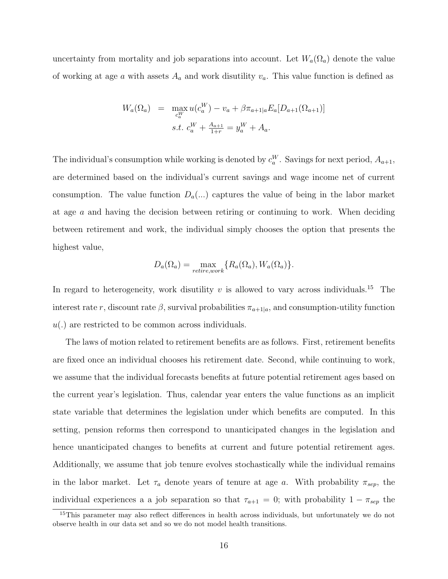uncertainty from mortality and job separations into account. Let  $W_a(\Omega_a)$  denote the value of working at age a with assets  $A_a$  and work disutility  $v_a$ . This value function is defined as

$$
W_a(\Omega_a) = \max_{c_a^W} u(c_a^W) - v_a + \beta \pi_{a+1|a} E_a[D_{a+1}(\Omega_{a+1})]
$$
  
s.t.  $c_a^W + \frac{A_{a+1}}{1+r} = y_a^W + A_a$ .

The individual's consumption while working is denoted by  $c_a^W$ . Savings for next period,  $A_{a+1}$ , are determined based on the individual's current savings and wage income net of current consumption. The value function  $D_a(...)$  captures the value of being in the labor market at age  $\alpha$  and having the decision between retiring or continuing to work. When deciding between retirement and work, the individual simply chooses the option that presents the highest value,

$$
D_a(\Omega_a) = \max_{retrie, work} \{ R_a(\Omega_a), W_a(\Omega_a) \}.
$$

In regard to heterogeneity, work disutility  $v$  is allowed to vary across individuals.<sup>15</sup> The interest rate r, discount rate  $\beta$ , survival probabilities  $\pi_{a+1|a}$ , and consumption-utility function  $u(.)$  are restricted to be common across individuals.

The laws of motion related to retirement benefits are as follows. First, retirement benefits are fixed once an individual chooses his retirement date. Second, while continuing to work, we assume that the individual forecasts benefits at future potential retirement ages based on the current year's legislation. Thus, calendar year enters the value functions as an implicit state variable that determines the legislation under which benefits are computed. In this setting, pension reforms then correspond to unanticipated changes in the legislation and hence unanticipated changes to benefits at current and future potential retirement ages. Additionally, we assume that job tenure evolves stochastically while the individual remains in the labor market. Let  $\tau_a$  denote years of tenure at age a. With probability  $\pi_{sep}$ , the individual experiences a a job separation so that  $\tau_{a+1} = 0$ ; with probability  $1 - \pi_{sep}$  the

<sup>&</sup>lt;sup>15</sup>This parameter may also reflect differences in health across individuals, but unfortunately we do not observe health in our data set and so we do not model health transitions.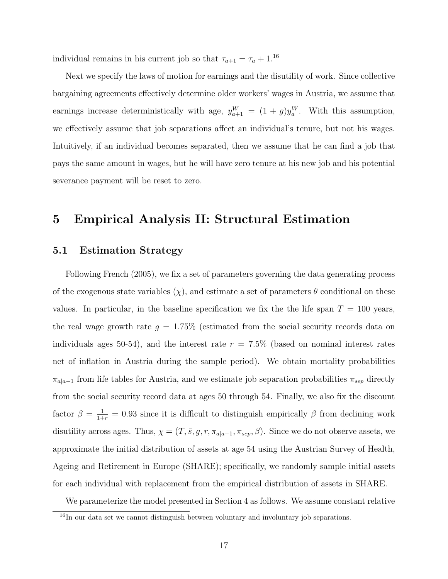individual remains in his current job so that  $\tau_{a+1} = \tau_a + 1.16$ 

Next we specify the laws of motion for earnings and the disutility of work. Since collective bargaining agreements effectively determine older workers' wages in Austria, we assume that earnings increase deterministically with age,  $y_{a+1}^W = (1+g)y_a^W$ . With this assumption, we effectively assume that job separations affect an individual's tenure, but not his wages. Intuitively, if an individual becomes separated, then we assume that he can find a job that pays the same amount in wages, but he will have zero tenure at his new job and his potential severance payment will be reset to zero.

# 5 Empirical Analysis II: Structural Estimation

#### 5.1 Estimation Strategy

Following French (2005), we fix a set of parameters governing the data generating process of the exogenous state variables  $(\chi)$ , and estimate a set of parameters  $\theta$  conditional on these values. In particular, in the baseline specification we fix the the life span  $T = 100$  years, the real wage growth rate  $g = 1.75\%$  (estimated from the social security records data on individuals ages 50-54), and the interest rate  $r = 7.5\%$  (based on nominal interest rates net of inflation in Austria during the sample period). We obtain mortality probabilities  $\pi_{a|a-1}$  from life tables for Austria, and we estimate job separation probabilities  $\pi_{sep}$  directly from the social security record data at ages 50 through 54. Finally, we also fix the discount factor  $\beta = \frac{1}{1+r} = 0.93$  since it is difficult to distinguish empirically  $\beta$  from declining work disutility across ages. Thus,  $\chi = (T, \bar{s}, g, r, \pi_{a|a-1}, \pi_{sep}, \beta)$ . Since we do not observe assets, we approximate the initial distribution of assets at age 54 using the Austrian Survey of Health, Ageing and Retirement in Europe (SHARE); specifically, we randomly sample initial assets for each individual with replacement from the empirical distribution of assets in SHARE.

We parameterize the model presented in Section 4 as follows. We assume constant relative

<sup>&</sup>lt;sup>16</sup>In our data set we cannot distinguish between voluntary and involuntary job separations.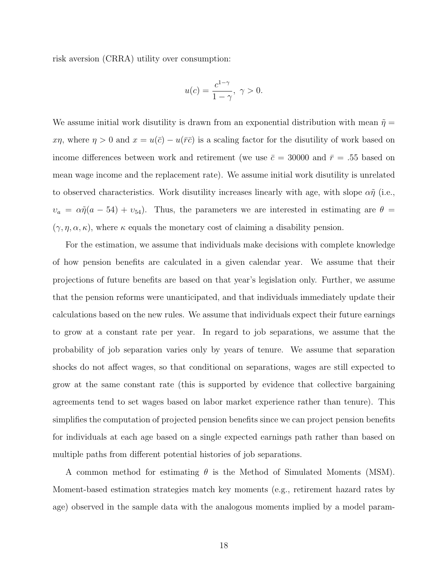risk aversion (CRRA) utility over consumption:

$$
u(c) = \frac{c^{1-\gamma}}{1-\gamma}, \ \gamma > 0.
$$

We assume initial work disutility is drawn from an exponential distribution with mean  $\tilde{\eta} =$  $x\eta$ , where  $\eta > 0$  and  $x = u(\bar{c}) - u(\bar{r}\bar{c})$  is a scaling factor for the disutility of work based on income differences between work and retirement (we use  $\bar{c} = 30000$  and  $\bar{r} = .55$  based on mean wage income and the replacement rate). We assume initial work disutility is unrelated to observed characteristics. Work disutility increases linearly with age, with slope  $\alpha\tilde{\eta}$  (i.e.,  $v_a = \alpha \tilde{\eta}(a - 54) + v_{54}$ . Thus, the parameters we are interested in estimating are  $\theta =$  $(\gamma, \eta, \alpha, \kappa)$ , where  $\kappa$  equals the monetary cost of claiming a disability pension.

For the estimation, we assume that individuals make decisions with complete knowledge of how pension benefits are calculated in a given calendar year. We assume that their projections of future benefits are based on that year's legislation only. Further, we assume that the pension reforms were unanticipated, and that individuals immediately update their calculations based on the new rules. We assume that individuals expect their future earnings to grow at a constant rate per year. In regard to job separations, we assume that the probability of job separation varies only by years of tenure. We assume that separation shocks do not affect wages, so that conditional on separations, wages are still expected to grow at the same constant rate (this is supported by evidence that collective bargaining agreements tend to set wages based on labor market experience rather than tenure). This simplifies the computation of projected pension benefits since we can project pension benefits for individuals at each age based on a single expected earnings path rather than based on multiple paths from different potential histories of job separations.

A common method for estimating  $\theta$  is the Method of Simulated Moments (MSM). Moment-based estimation strategies match key moments (e.g., retirement hazard rates by age) observed in the sample data with the analogous moments implied by a model param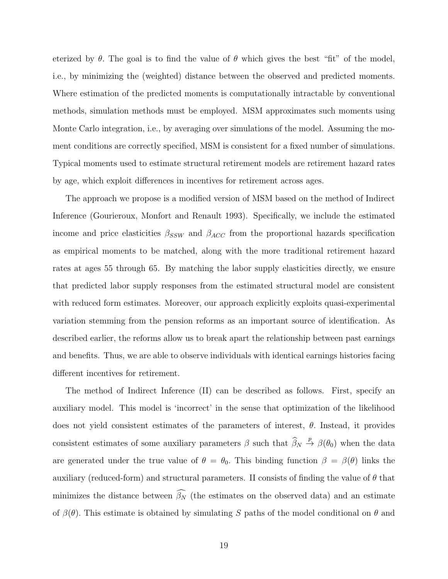eterized by  $\theta$ . The goal is to find the value of  $\theta$  which gives the best "fit" of the model. i.e., by minimizing the (weighted) distance between the observed and predicted moments. Where estimation of the predicted moments is computationally intractable by conventional methods, simulation methods must be employed. MSM approximates such moments using Monte Carlo integration, i.e., by averaging over simulations of the model. Assuming the moment conditions are correctly specified, MSM is consistent for a fixed number of simulations. Typical moments used to estimate structural retirement models are retirement hazard rates by age, which exploit differences in incentives for retirement across ages.

The approach we propose is a modified version of MSM based on the method of Indirect Inference (Gourieroux, Monfort and Renault 1993). Specifically, we include the estimated income and price elasticities  $\beta_{SSW}$  and  $\beta_{ACC}$  from the proportional hazards specification as empirical moments to be matched, along with the more traditional retirement hazard rates at ages 55 through 65. By matching the labor supply elasticities directly, we ensure that predicted labor supply responses from the estimated structural model are consistent with reduced form estimates. Moreover, our approach explicitly exploits quasi-experimental variation stemming from the pension reforms as an important source of identification. As described earlier, the reforms allow us to break apart the relationship between past earnings and benefits. Thus, we are able to observe individuals with identical earnings histories facing different incentives for retirement.

The method of Indirect Inference (II) can be described as follows. First, specify an auxiliary model. This model is 'incorrect' in the sense that optimization of the likelihood does not yield consistent estimates of the parameters of interest,  $\theta$ . Instead, it provides consistent estimates of some auxiliary parameters  $\beta$  such that  $\widehat{\beta}_N \stackrel{p}{\rightarrow} \beta(\theta_0)$  when the data are generated under the true value of  $\theta = \theta_0$ . This binding function  $\beta = \beta(\theta)$  links the auxiliary (reduced-form) and structural parameters. II consists of finding the value of  $\theta$  that minimizes the distance between  $\widehat{\beta_N}$  (the estimates on the observed data) and an estimate of  $\beta(\theta)$ . This estimate is obtained by simulating S paths of the model conditional on  $\theta$  and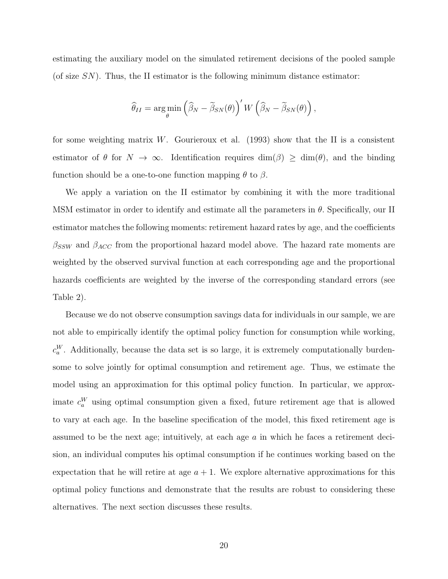estimating the auxiliary model on the simulated retirement decisions of the pooled sample (of size  $SN$ ). Thus, the II estimator is the following minimum distance estimator:

$$
\widehat{\theta}_{II} = \argmin_{\theta} \left( \widehat{\beta}_N - \widetilde{\beta}_{SN}(\theta) \right)' W \left( \widehat{\beta}_N - \widetilde{\beta}_{SN}(\theta) \right),
$$

for some weighting matrix W. Gourieroux et al.  $(1993)$  show that the II is a consistent estimator of  $\theta$  for  $N \to \infty$ . Identification requires dim( $\beta$ )  $\geq$  dim( $\theta$ ), and the binding function should be a one-to-one function mapping  $\theta$  to  $\beta$ .

We apply a variation on the II estimator by combining it with the more traditional MSM estimator in order to identify and estimate all the parameters in  $\theta$ . Specifically, our II estimator matches the following moments: retirement hazard rates by age, and the coefficients  $\beta_{SSW}$  and  $\beta_{ACC}$  from the proportional hazard model above. The hazard rate moments are weighted by the observed survival function at each corresponding age and the proportional hazards coefficients are weighted by the inverse of the corresponding standard errors (see Table 2).

Because we do not observe consumption savings data for individuals in our sample, we are not able to empirically identify the optimal policy function for consumption while working,  $c_a^W$ . Additionally, because the data set is so large, it is extremely computationally burdensome to solve jointly for optimal consumption and retirement age. Thus, we estimate the model using an approximation for this optimal policy function. In particular, we approximate  $c_a^W$  using optimal consumption given a fixed, future retirement age that is allowed to vary at each age. In the baseline specification of the model, this fixed retirement age is assumed to be the next age; intuitively, at each age a in which he faces a retirement decision, an individual computes his optimal consumption if he continues working based on the expectation that he will retire at age  $a + 1$ . We explore alternative approximations for this optimal policy functions and demonstrate that the results are robust to considering these alternatives. The next section discusses these results.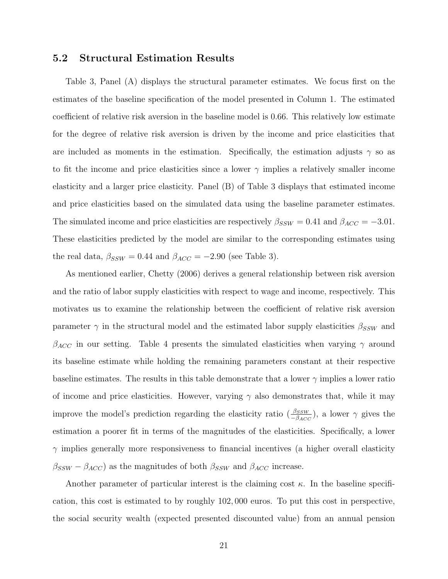#### 5.2 Structural Estimation Results

Table 3, Panel (A) displays the structural parameter estimates. We focus first on the estimates of the baseline specification of the model presented in Column 1. The estimated coefficient of relative risk aversion in the baseline model is 0.66. This relatively low estimate for the degree of relative risk aversion is driven by the income and price elasticities that are included as moments in the estimation. Specifically, the estimation adjusts  $\gamma$  so as to fit the income and price elasticities since a lower  $\gamma$  implies a relatively smaller income elasticity and a larger price elasticity. Panel (B) of Table 3 displays that estimated income and price elasticities based on the simulated data using the baseline parameter estimates. The simulated income and price elasticities are respectively  $\beta_{SSW} = 0.41$  and  $\beta_{ACC} = -3.01$ . These elasticities predicted by the model are similar to the corresponding estimates using the real data,  $\beta_{SSW} = 0.44$  and  $\beta_{ACC} = -2.90$  (see Table 3).

As mentioned earlier, Chetty (2006) derives a general relationship between risk aversion and the ratio of labor supply elasticities with respect to wage and income, respectively. This motivates us to examine the relationship between the coefficient of relative risk aversion parameter  $\gamma$  in the structural model and the estimated labor supply elasticities  $\beta_{SSW}$  and  $\beta_{ACC}$  in our setting. Table 4 presents the simulated elasticities when varying  $\gamma$  around its baseline estimate while holding the remaining parameters constant at their respective baseline estimates. The results in this table demonstrate that a lower  $\gamma$  implies a lower ratio of income and price elasticities. However, varying  $\gamma$  also demonstrates that, while it may improve the model's prediction regarding the elasticity ratio  $(\frac{\beta_{SSW}}{-\beta_{ACC}})$ , a lower  $\gamma$  gives the estimation a poorer fit in terms of the magnitudes of the elasticities. Specifically, a lower  $\gamma$  implies generally more responsiveness to financial incentives (a higher overall elasticity  $\beta_{SSW} - \beta_{ACC}$ ) as the magnitudes of both  $\beta_{SSW}$  and  $\beta_{ACC}$  increase.

Another parameter of particular interest is the claiming cost  $\kappa$ . In the baseline specification, this cost is estimated to by roughly 102, 000 euros. To put this cost in perspective, the social security wealth (expected presented discounted value) from an annual pension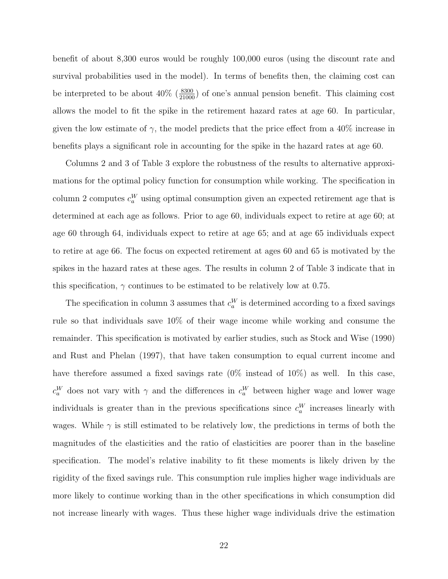benefit of about 8,300 euros would be roughly 100,000 euros (using the discount rate and survival probabilities used in the model). In terms of benefits then, the claiming cost can be interpreted to be about  $40\%$  ( $\frac{8300}{21000}$ ) of one's annual pension benefit. This claiming cost allows the model to fit the spike in the retirement hazard rates at age 60. In particular, given the low estimate of  $\gamma$ , the model predicts that the price effect from a 40% increase in benefits plays a significant role in accounting for the spike in the hazard rates at age 60.

Columns 2 and 3 of Table 3 explore the robustness of the results to alternative approximations for the optimal policy function for consumption while working. The specification in column 2 computes  $c_a^W$  using optimal consumption given an expected retirement age that is determined at each age as follows. Prior to age 60, individuals expect to retire at age 60; at age 60 through 64, individuals expect to retire at age 65; and at age 65 individuals expect to retire at age 66. The focus on expected retirement at ages 60 and 65 is motivated by the spikes in the hazard rates at these ages. The results in column 2 of Table 3 indicate that in this specification,  $\gamma$  continues to be estimated to be relatively low at 0.75.

The specification in column 3 assumes that  $c_a^W$  is determined according to a fixed savings rule so that individuals save 10% of their wage income while working and consume the remainder. This specification is motivated by earlier studies, such as Stock and Wise (1990) and Rust and Phelan (1997), that have taken consumption to equal current income and have therefore assumed a fixed savings rate  $(0\%$  instead of  $10\%)$  as well. In this case,  $c_a^W$  does not vary with  $\gamma$  and the differences in  $c_a^W$  between higher wage and lower wage individuals is greater than in the previous specifications since  $c_a^W$  increases linearly with wages. While  $\gamma$  is still estimated to be relatively low, the predictions in terms of both the magnitudes of the elasticities and the ratio of elasticities are poorer than in the baseline specification. The model's relative inability to fit these moments is likely driven by the rigidity of the fixed savings rule. This consumption rule implies higher wage individuals are more likely to continue working than in the other specifications in which consumption did not increase linearly with wages. Thus these higher wage individuals drive the estimation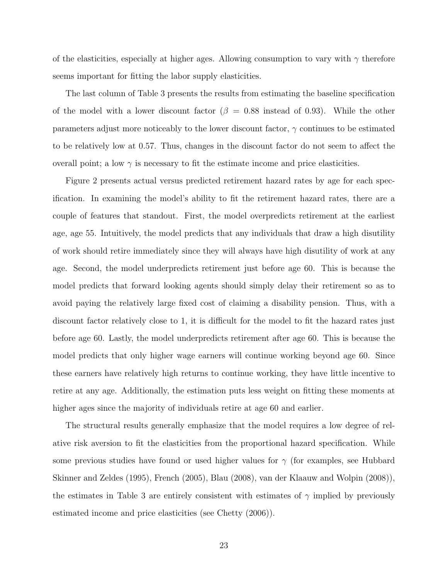of the elasticities, especially at higher ages. Allowing consumption to vary with  $\gamma$  therefore seems important for fitting the labor supply elasticities.

The last column of Table 3 presents the results from estimating the baseline specification of the model with a lower discount factor ( $\beta = 0.88$  instead of 0.93). While the other parameters adjust more noticeably to the lower discount factor,  $\gamma$  continues to be estimated to be relatively low at 0.57. Thus, changes in the discount factor do not seem to affect the overall point; a low  $\gamma$  is necessary to fit the estimate income and price elasticities.

Figure 2 presents actual versus predicted retirement hazard rates by age for each specification. In examining the model's ability to fit the retirement hazard rates, there are a couple of features that standout. First, the model overpredicts retirement at the earliest age, age 55. Intuitively, the model predicts that any individuals that draw a high disutility of work should retire immediately since they will always have high disutility of work at any age. Second, the model underpredicts retirement just before age 60. This is because the model predicts that forward looking agents should simply delay their retirement so as to avoid paying the relatively large fixed cost of claiming a disability pension. Thus, with a discount factor relatively close to 1, it is difficult for the model to fit the hazard rates just before age 60. Lastly, the model underpredicts retirement after age 60. This is because the model predicts that only higher wage earners will continue working beyond age 60. Since these earners have relatively high returns to continue working, they have little incentive to retire at any age. Additionally, the estimation puts less weight on fitting these moments at higher ages since the majority of individuals retire at age 60 and earlier.

The structural results generally emphasize that the model requires a low degree of relative risk aversion to fit the elasticities from the proportional hazard specification. While some previous studies have found or used higher values for  $\gamma$  (for examples, see Hubbard Skinner and Zeldes (1995), French (2005), Blau (2008), van der Klaauw and Wolpin (2008)), the estimates in Table 3 are entirely consistent with estimates of  $\gamma$  implied by previously estimated income and price elasticities (see Chetty (2006)).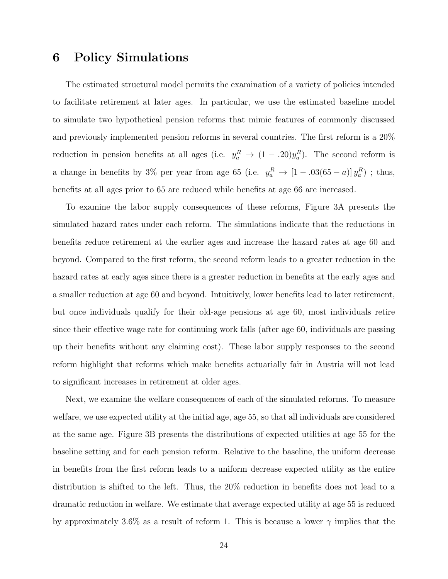# 6 Policy Simulations

The estimated structural model permits the examination of a variety of policies intended to facilitate retirement at later ages. In particular, we use the estimated baseline model to simulate two hypothetical pension reforms that mimic features of commonly discussed and previously implemented pension reforms in several countries. The first reform is a 20% reduction in pension benefits at all ages (i.e.  $y_a^R \to (1-.20)y_a^R$ ). The second reform is a change in benefits by 3% per year from age 65 (i.e.  $y_a^R \to [1 - .03(65 - a)]y_a^R$ ); thus, benefits at all ages prior to 65 are reduced while benefits at age 66 are increased.

To examine the labor supply consequences of these reforms, Figure 3A presents the simulated hazard rates under each reform. The simulations indicate that the reductions in benefits reduce retirement at the earlier ages and increase the hazard rates at age 60 and beyond. Compared to the first reform, the second reform leads to a greater reduction in the hazard rates at early ages since there is a greater reduction in benefits at the early ages and a smaller reduction at age 60 and beyond. Intuitively, lower benefits lead to later retirement, but once individuals qualify for their old-age pensions at age 60, most individuals retire since their effective wage rate for continuing work falls (after age 60, individuals are passing up their benefits without any claiming cost). These labor supply responses to the second reform highlight that reforms which make benefits actuarially fair in Austria will not lead to significant increases in retirement at older ages.

Next, we examine the welfare consequences of each of the simulated reforms. To measure welfare, we use expected utility at the initial age, age 55, so that all individuals are considered at the same age. Figure 3B presents the distributions of expected utilities at age 55 for the baseline setting and for each pension reform. Relative to the baseline, the uniform decrease in benefits from the first reform leads to a uniform decrease expected utility as the entire distribution is shifted to the left. Thus, the 20% reduction in benefits does not lead to a dramatic reduction in welfare. We estimate that average expected utility at age 55 is reduced by approximately 3.6% as a result of reform 1. This is because a lower  $\gamma$  implies that the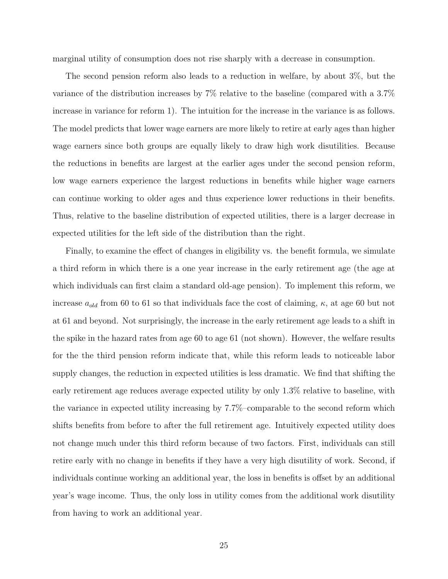marginal utility of consumption does not rise sharply with a decrease in consumption.

The second pension reform also leads to a reduction in welfare, by about 3%, but the variance of the distribution increases by 7% relative to the baseline (compared with a 3.7% increase in variance for reform 1). The intuition for the increase in the variance is as follows. The model predicts that lower wage earners are more likely to retire at early ages than higher wage earners since both groups are equally likely to draw high work disutilities. Because the reductions in benefits are largest at the earlier ages under the second pension reform, low wage earners experience the largest reductions in benefits while higher wage earners can continue working to older ages and thus experience lower reductions in their benefits. Thus, relative to the baseline distribution of expected utilities, there is a larger decrease in expected utilities for the left side of the distribution than the right.

Finally, to examine the effect of changes in eligibility vs. the benefit formula, we simulate a third reform in which there is a one year increase in the early retirement age (the age at which individuals can first claim a standard old-age pension). To implement this reform, we increase  $a_{old}$  from 60 to 61 so that individuals face the cost of claiming,  $\kappa$ , at age 60 but not at 61 and beyond. Not surprisingly, the increase in the early retirement age leads to a shift in the spike in the hazard rates from age 60 to age 61 (not shown). However, the welfare results for the the third pension reform indicate that, while this reform leads to noticeable labor supply changes, the reduction in expected utilities is less dramatic. We find that shifting the early retirement age reduces average expected utility by only 1.3% relative to baseline, with the variance in expected utility increasing by 7.7%–comparable to the second reform which shifts benefits from before to after the full retirement age. Intuitively expected utility does not change much under this third reform because of two factors. First, individuals can still retire early with no change in benefits if they have a very high disutility of work. Second, if individuals continue working an additional year, the loss in benefits is offset by an additional year's wage income. Thus, the only loss in utility comes from the additional work disutility from having to work an additional year.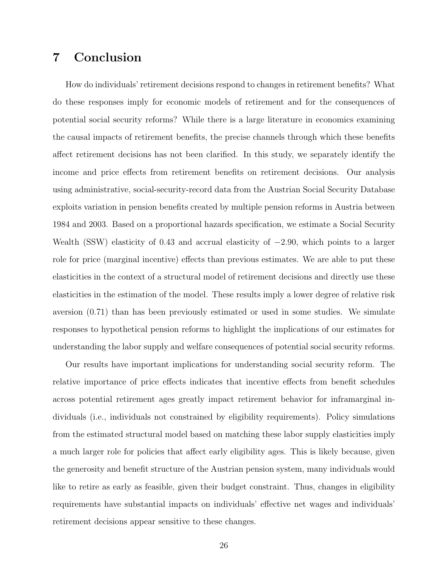# 7 Conclusion

How do individuals' retirement decisions respond to changes in retirement benefits? What do these responses imply for economic models of retirement and for the consequences of potential social security reforms? While there is a large literature in economics examining the causal impacts of retirement benefits, the precise channels through which these benefits affect retirement decisions has not been clarified. In this study, we separately identify the income and price effects from retirement benefits on retirement decisions. Our analysis using administrative, social-security-record data from the Austrian Social Security Database exploits variation in pension benefits created by multiple pension reforms in Austria between 1984 and 2003. Based on a proportional hazards specification, we estimate a Social Security Wealth (SSW) elasticity of 0.43 and accrual elasticity of  $-2.90$ , which points to a larger role for price (marginal incentive) effects than previous estimates. We are able to put these elasticities in the context of a structural model of retirement decisions and directly use these elasticities in the estimation of the model. These results imply a lower degree of relative risk aversion (0.71) than has been previously estimated or used in some studies. We simulate responses to hypothetical pension reforms to highlight the implications of our estimates for understanding the labor supply and welfare consequences of potential social security reforms.

Our results have important implications for understanding social security reform. The relative importance of price effects indicates that incentive effects from benefit schedules across potential retirement ages greatly impact retirement behavior for inframarginal individuals (i.e., individuals not constrained by eligibility requirements). Policy simulations from the estimated structural model based on matching these labor supply elasticities imply a much larger role for policies that affect early eligibility ages. This is likely because, given the generosity and benefit structure of the Austrian pension system, many individuals would like to retire as early as feasible, given their budget constraint. Thus, changes in eligibility requirements have substantial impacts on individuals' effective net wages and individuals' retirement decisions appear sensitive to these changes.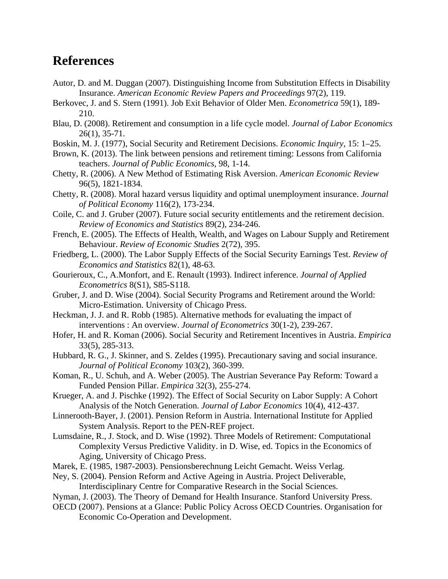# **References**

- Autor, D. and M. Duggan (2007). Distinguishing Income from Substitution Effects in Disability Insurance. *American Economic Review Papers and Proceedings* 97(2), 119.
- Berkovec, J. and S. Stern (1991). Job Exit Behavior of Older Men. *Econometrica* 59(1), 189- 210.
- Blau, D. (2008). Retirement and consumption in a life cycle model. *Journal of Labor Economics* 26(1), 35-71.
- Boskin, M. J. (1977), Social Security and Retirement Decisions. *Economic Inquiry*, 15: 1–25.
- Brown, K. (2013). The link between pensions and retirement timing: Lessons from California teachers. *Journal of Public Economics*, 98, 1-14.
- Chetty, R. (2006). A New Method of Estimating Risk Aversion. *American Economic Review* 96(5), 1821-1834.
- Chetty, R. (2008). Moral hazard versus liquidity and optimal unemployment insurance. *Journal of Political Economy* 116(2), 173-234.
- Coile, C. and J. Gruber (2007). Future social security entitlements and the retirement decision. *Review of Economics and Statistics* 89(2), 234-246.
- French, E. (2005). The Effects of Health, Wealth, and Wages on Labour Supply and Retirement Behaviour. *Review of Economic Studies* 2(72), 395.
- Friedberg, L. (2000). The Labor Supply Effects of the Social Security Earnings Test. *Review of Economics and Statistics* 82(1), 48-63.
- Gourieroux, C., A.Monfort, and E. Renault (1993). Indirect inference. *Journal of Applied Econometrics* 8(S1), S85-S118.
- Gruber, J. and D. Wise (2004). Social Security Programs and Retirement around the World: Micro-Estimation. University of Chicago Press.
- Heckman, J. J. and R. Robb (1985). Alternative methods for evaluating the impact of interventions : An overview. *Journal of Econometrics* 30(1-2), 239-267.
- Hofer, H. and R. Koman (2006). Social Security and Retirement Incentives in Austria. *Empirica* 33(5), 285-313.
- Hubbard, R. G., J. Skinner, and S. Zeldes (1995). Precautionary saving and social insurance. *Journal of Political Economy* 103(2), 360-399.
- Koman, R., U. Schuh, and A. Weber (2005). The Austrian Severance Pay Reform: Toward a Funded Pension Pillar. *Empirica* 32(3), 255-274.
- Krueger, A. and J. Pischke (1992). The Effect of Social Security on Labor Supply: A Cohort Analysis of the Notch Generation. *Journal of Labor Economics* 10(4), 412-437.
- Linnerooth-Bayer, J. (2001). Pension Reform in Austria. International Institute for Applied System Analysis. Report to the PEN-REF project.
- Lumsdaine, R., J. Stock, and D. Wise (1992). Three Models of Retirement: Computational Complexity Versus Predictive Validity. in D. Wise, ed. Topics in the Economics of Aging, University of Chicago Press.
- Marek, E. (1985, 1987-2003). Pensionsberechnung Leicht Gemacht. Weiss Verlag.
- Ney, S. (2004). Pension Reform and Active Ageing in Austria. Project Deliverable, Interdisciplinary Centre for Comparative Research in the Social Sciences.
- Nyman, J. (2003). The Theory of Demand for Health Insurance. Stanford University Press.
- OECD (2007). Pensions at a Glance: Public Policy Across OECD Countries. Organisation for Economic Co-Operation and Development.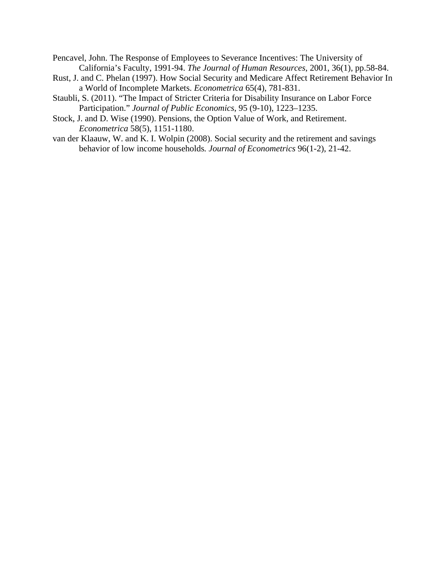- Pencavel, John. The Response of Employees to Severance Incentives: The University of California's Faculty, 1991-94. *The Journal of Human Resources*, 2001, 36(1), pp.58-84.
- Rust, J. and C. Phelan (1997). How Social Security and Medicare Affect Retirement Behavior In a World of Incomplete Markets. *Econometrica* 65(4), 781-831.
- Staubli, S. (2011). "The Impact of Stricter Criteria for Disability Insurance on Labor Force Participation." *Journal of Public Economics*, 95 (9-10), 1223–1235.
- Stock, J. and D. Wise (1990). Pensions, the Option Value of Work, and Retirement. *Econometrica* 58(5), 1151-1180.
- van der Klaauw, W. and K. I. Wolpin (2008). Social security and the retirement and savings behavior of low income households*. Journal of Econometrics* 96(1-2), 21-42.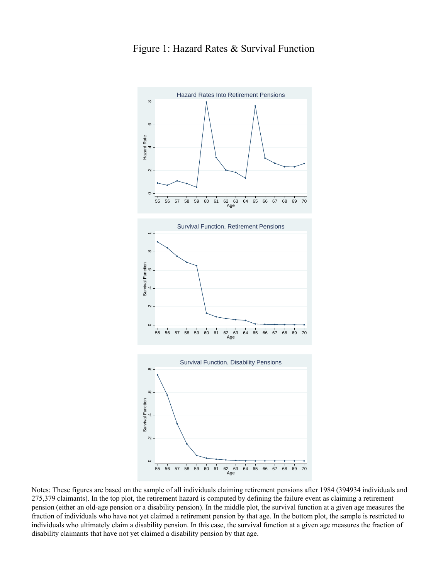

Notes: These figures are based on the sample of all individuals claiming retirement pensions after 1984 (394934 individuals and 275,379 claimants). In the top plot, the retirement hazard is computed by defining the failure event as claiming a retirement pension (either an old-age pension or a disability pension). In the middle plot, the survival function at a given age measures the fraction of individuals who have not yet claimed a retirement pension by that age. In the bottom plot, the sample is restricted to individuals who ultimately claim a disability pension. In this case, the survival function at a given age measures the fraction of disability claimants that have not yet claimed a disability pension by that age.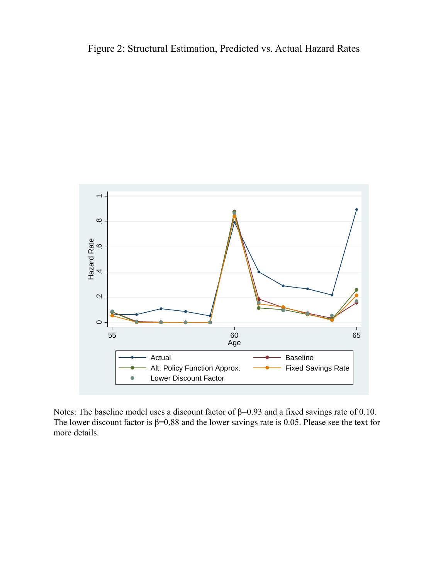Figure 2: Structural Estimation, Predicted vs. Actual Hazard Rates



Notes: The baseline model uses a discount factor of  $\beta$ =0.93 and a fixed savings rate of 0.10. The lower discount factor is  $\beta$ =0.88 and the lower savings rate is 0.05. Please see the text for more details.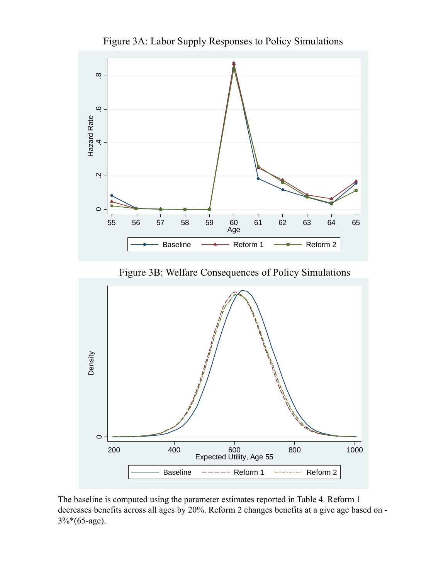

Figure 3A: Labor Supply Responses to Policy Simulations

Figure 3B: Welfare Consequences of Policy Simulations



The baseline is computed using the parameter estimates reported in Table 4. Reform 1 decreases benefits across all ages by 20%. Reform 2 changes benefits at a give age based on - 3%\*(65-age).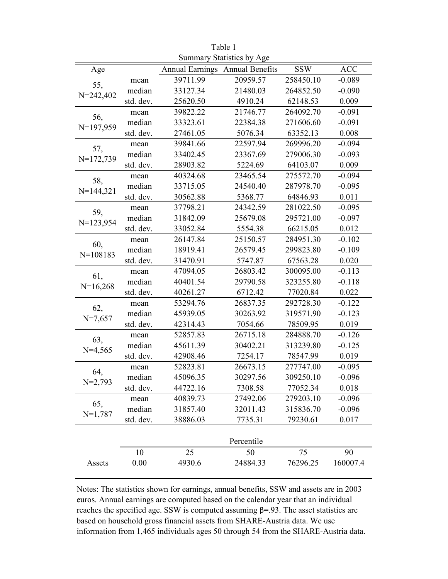| Summary Statistics by Age |           |                                 |            |            |            |
|---------------------------|-----------|---------------------------------|------------|------------|------------|
| Age                       |           | Annual Earnings Annual Benefits |            | <b>SSW</b> | <b>ACC</b> |
|                           | mean      | 39711.99                        | 20959.57   | 258450.10  | $-0.089$   |
| 55,<br>$N = 242,402$      | median    | 33127.34                        | 21480.03   | 264852.50  | $-0.090$   |
|                           | std. dev. | 25620.50                        | 4910.24    | 62148.53   | 0.009      |
|                           | mean      | 39822.22                        | 21746.77   | 264092.70  | $-0.091$   |
| 56,<br>$N=197,959$        | median    | 33323.61                        | 22384.38   | 271606.60  | $-0.091$   |
|                           | std. dev. | 27461.05                        | 5076.34    | 63352.13   | 0.008      |
|                           | mean      | 39841.66                        | 22597.94   | 269996.20  | $-0.094$   |
| 57,<br>$N=172,739$        | median    | 33402.45                        | 23367.69   | 279006.30  | $-0.093$   |
|                           | std. dev. | 28903.82                        | 5224.69    | 64103.07   | 0.009      |
| 58,                       | mean      | 40324.68                        | 23465.54   | 275572.70  | $-0.094$   |
| $N=144,321$               | median    | 33715.05                        | 24540.40   | 287978.70  | $-0.095$   |
|                           | std. dev. | 30562.88                        | 5368.77    | 64846.93   | 0.011      |
| 59,                       | mean      | 37798.21                        | 24342.59   | 281022.50  | $-0.095$   |
| $N=123,954$               | median    | 31842.09                        | 25679.08   | 295721.00  | $-0.097$   |
|                           | std. dev. | 33052.84                        | 5554.38    | 66215.05   | 0.012      |
|                           | mean      | 26147.84                        | 25150.57   | 284951.30  | $-0.102$   |
| 60,                       | median    | 18919.41                        | 26579.45   | 299823.80  | $-0.109$   |
| $N=108183$                | std. dev. | 31470.91                        | 5747.87    | 67563.28   | 0.020      |
| 61,                       | mean      | 47094.05                        | 26803.42   | 300095.00  | $-0.113$   |
| $N=16,268$                | median    | 40401.54                        | 29790.58   | 323255.80  | $-0.118$   |
|                           | std. dev. | 40261.27                        | 6712.42    | 77020.84   | 0.022      |
| 62,                       | mean      | 53294.76                        | 26837.35   | 292728.30  | $-0.122$   |
| $N=7,657$                 | median    | 45939.05                        | 30263.92   | 319571.90  | $-0.123$   |
|                           | std. dev. | 42314.43                        | 7054.66    | 78509.95   | 0.019      |
| 63,                       | mean      | 52857.83                        | 26715.18   | 284888.70  | $-0.126$   |
| $N=4,565$                 | median    | 45611.39                        | 30402.21   | 313239.80  | $-0.125$   |
|                           | std. dev. | 42908.46                        | 7254.17    | 78547.99   | 0.019      |
| 64,                       | mean      | 52823.81                        | 26673.15   | 277747.00  | $-0.095$   |
| $N=2,793$                 | median    | 45096.35                        | 30297.56   | 309250.10  | $-0.096$   |
|                           | std. dev. | 44722.16                        | 7308.58    | 77052.34   | 0.018      |
| 65,<br>$N=1,787$          | mean      | 40839.73                        | 27492.06   | 279203.10  | $-0.096$   |
|                           | median    | 31857.40                        | 32011.43   | 315836.70  | $-0.096$   |
|                           | std. dev. | 38886.03                        | 7735.31    | 79230.61   | 0.017      |
|                           |           |                                 |            |            |            |
|                           |           |                                 | Percentile |            |            |
|                           | 10        | 25                              | 50         | 75         | 90         |
| Assets                    | 0.00      | 4930.6                          | 24884.33   | 76296.25   | 160007.4   |
|                           |           |                                 |            |            |            |

Table 1

Notes: The statistics shown for earnings, annual benefits, SSW and assets are in 2003 euros. Annual earnings are computed based on the calendar year that an individual reaches the specified age. SSW is computed assuming  $β = .93$ . The asset statistics are based on household gross financial assets from SHARE-Austria data. We use information from 1,465 individuals ages 50 through 54 from the SHARE-Austria data.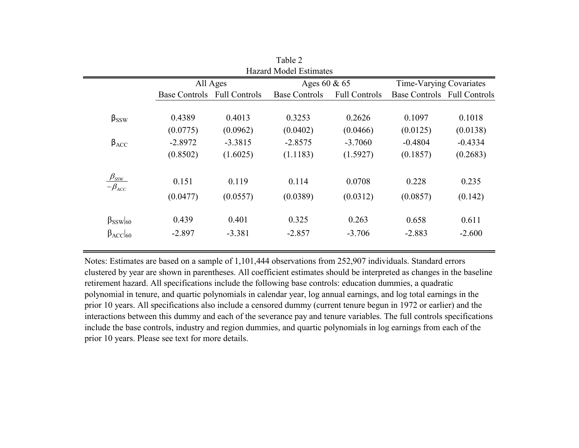| <b>Hazard Model Estimates</b>                                             |                             |           |                      |                      |                             |           |
|---------------------------------------------------------------------------|-----------------------------|-----------|----------------------|----------------------|-----------------------------|-----------|
|                                                                           | All Ages                    |           | Ages 60 $& 65$       |                      | Time-Varying Covariates     |           |
|                                                                           | Base Controls Full Controls |           | <b>Base Controls</b> | <b>Full Controls</b> | Base Controls Full Controls |           |
|                                                                           |                             |           |                      |                      |                             |           |
| $\beta_{SSW}$                                                             | 0.4389                      | 0.4013    | 0.3253               | 0.2626               | 0.1097                      | 0.1018    |
|                                                                           | (0.0775)                    | (0.0962)  | (0.0402)             | (0.0466)             | (0.0125)                    | (0.0138)  |
| $\beta_{ACC}$                                                             | $-2.8972$                   | $-3.3815$ | $-2.8575$            | $-3.7060$            | $-0.4804$                   | $-0.4334$ |
|                                                                           | (0.8502)                    | (1.6025)  | (1.1183)             | (1.5927)             | (0.1857)                    | (0.2683)  |
| $\beta_{\rm \scriptscriptstyle SSW}$<br>$-\beta_{\scriptscriptstyle ACC}$ | 0.151                       | 0.119     | 0.114                | 0.0708               | 0.228                       | 0.235     |
|                                                                           | (0.0477)                    | (0.0557)  | (0.0389)             | (0.0312)             | (0.0857)                    | (0.142)   |
| $\beta_{SSW}\vert_{60}$                                                   | 0.439                       | 0.401     | 0.325                | 0.263                | 0.658                       | 0.611     |
| $\beta$ <sub>ACC</sub> <sub>60</sub>                                      | $-2.897$                    | $-3.381$  | $-2.857$             | $-3.706$             | $-2.883$                    | $-2.600$  |

Table 2

Notes: Estimates are based on a sample of 1,101,444 observations from 252,907 individuals. Standard errors clustered by year are shown in parentheses. All coefficient estimates should be interpreted as changes in the baseline retirement hazard. All specifications include the following base controls: education dummies, a quadratic polynomial in tenure, and quartic polynomials in calendar year, log annual earnings, and log total earnings in the prior 10 years. All specifications also include a censored dummy (current tenure begun in 1972 or earlier) and the interactions between this dummy and each of the severance pay and tenure variables. The full controls specifications include the base controls, industry and region dummies, and quartic polynomials in log earnings from each of the prior 10 years. Please see text for more details.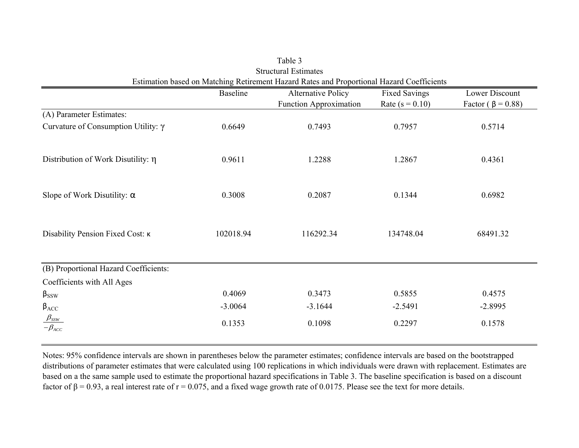|                                                                           |           | Estimation based on Matching Retirement Hazard Rates and Proportional Hazard Coefficients |                      |                          |
|---------------------------------------------------------------------------|-----------|-------------------------------------------------------------------------------------------|----------------------|--------------------------|
|                                                                           | Baseline  | <b>Alternative Policy</b>                                                                 | <b>Fixed Savings</b> | Lower Discount           |
|                                                                           |           | <b>Function Approximation</b>                                                             | Rate $(s = 0.10)$    | Factor ( $\beta$ = 0.88) |
| (A) Parameter Estimates:                                                  |           |                                                                                           |                      |                          |
| Curvature of Consumption Utility: $\gamma$                                | 0.6649    | 0.7493                                                                                    | 0.7957               | 0.5714                   |
| Distribution of Work Disutility: $\eta$                                   | 0.9611    | 1.2288                                                                                    | 1.2867               | 0.4361                   |
|                                                                           |           |                                                                                           |                      |                          |
| Slope of Work Disutility: $\alpha$                                        | 0.3008    | 0.2087                                                                                    | 0.1344               | 0.6982                   |
| Disability Pension Fixed Cost: K                                          | 102018.94 | 116292.34                                                                                 | 134748.04            | 68491.32                 |
| (B) Proportional Hazard Coefficients:                                     |           |                                                                                           |                      |                          |
| Coefficients with All Ages                                                |           |                                                                                           |                      |                          |
| $\beta_{SSW}$                                                             | 0.4069    | 0.3473                                                                                    | 0.5855               | 0.4575                   |
| $\beta_{ACC}$                                                             | $-3.0064$ | $-3.1644$                                                                                 | $-2.5491$            | $-2.8995$                |
| $\beta_{\rm \scriptscriptstyle SSW}$<br>$-\beta_{\scriptscriptstyle ACC}$ | 0.1353    | 0.1098                                                                                    | 0.2297               | 0.1578                   |
|                                                                           |           |                                                                                           |                      |                          |

| Table 3                                                                    |
|----------------------------------------------------------------------------|
| <b>Structural Estimates</b>                                                |
| ation based on Matching Retirement Hazard Rates and Proportional Hazard Co |

Notes: 95% confidence intervals are shown in parentheses below the parameter estimates; confidence intervals are based on the bootstrapped distributions of parameter estimates that were calculated using 100 replications in which individuals were drawn with replacement. Estimates are based on a the same sample used to estimate the proportional hazard specifications in Table 3. The baseline specification is based on a discount factor of  $β = 0.93$ , a real interest rate of  $r = 0.075$ , and a fixed wage growth rate of 0.0175. Please see the text for more details.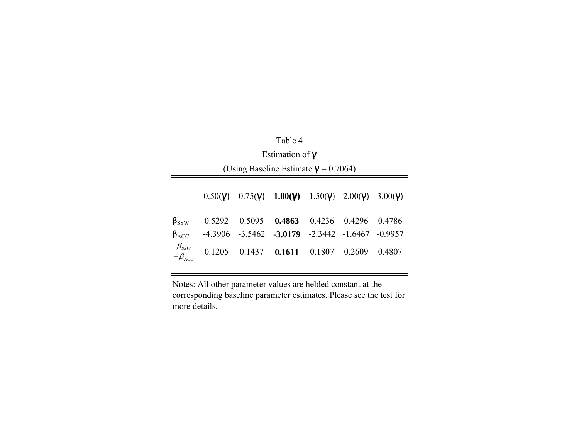|                                    | Table 4                                     |                   |                                                                     |        |               |           |
|------------------------------------|---------------------------------------------|-------------------|---------------------------------------------------------------------|--------|---------------|-----------|
|                                    | Estimation of $V$                           |                   |                                                                     |        |               |           |
|                                    | (Using Baseline Estimate $\gamma$ = 0.7064) |                   |                                                                     |        |               |           |
|                                    |                                             |                   |                                                                     |        |               |           |
|                                    | 0.50(V)                                     |                   | 0.75( <b>y</b> ) 1.00( <b>y</b> ) 1.50( <b>y</b> ) 2.00( <b>y</b> ) |        |               | 3.00(V)   |
| $\beta_{SSW}$                      | 0.5292                                      | 0.5095            | 0.4863                                                              |        | 0.4236 0.4296 | 0.4786    |
| $\beta_{ACC}$                      |                                             |                   | $-4.3906$ $-3.5462$ $-3.0179$ $-2.3442$ $-1.6467$                   |        |               | $-0.9957$ |
| $\frac{\beta_{SSW}}{-\beta_{ACC}}$ | 0.1205                                      | $0.1437$ $0.1611$ |                                                                     | 0.1807 | 0.2609        | 0.4807    |

Notes: All other parameter values are helded constant at the corresponding baseline parameter estimates. Please see the test for more details.

÷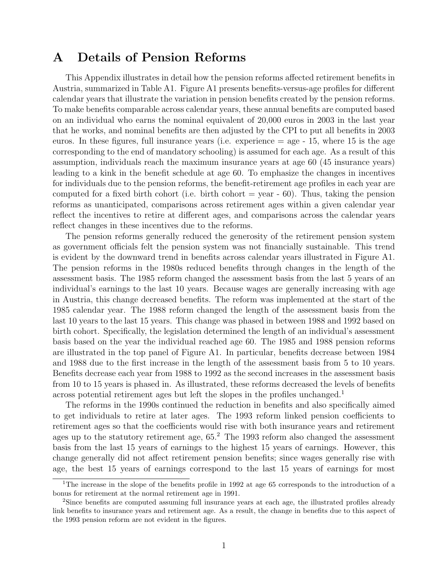# A Details of Pension Reforms

This Appendix illustrates in detail how the pension reforms affected retirement benefits in Austria, summarized in Table A1. Figure A1 presents benefits-versus-age profiles for different calendar years that illustrate the variation in pension benefits created by the pension reforms. To make benefits comparable across calendar years, these annual benefits are computed based on an individual who earns the nominal equivalent of 20,000 euros in 2003 in the last year that he works, and nominal benefits are then adjusted by the CPI to put all benefits in 2003 euros. In these figures, full insurance years (i.e. experience  $=$  age  $-15$ , where 15 is the age corresponding to the end of mandatory schooling) is assumed for each age. As a result of this assumption, individuals reach the maximum insurance years at age 60 (45 insurance years) leading to a kink in the benefit schedule at age 60. To emphasize the changes in incentives for individuals due to the pension reforms, the benefit-retirement age profiles in each year are computed for a fixed birth cohort (i.e. birth cohort  $=$  year  $-$  60). Thus, taking the pension reforms as unanticipated, comparisons across retirement ages within a given calendar year reflect the incentives to retire at different ages, and comparisons across the calendar years reflect changes in these incentives due to the reforms.

The pension reforms generally reduced the generosity of the retirement pension system as government officials felt the pension system was not financially sustainable. This trend is evident by the downward trend in benefits across calendar years illustrated in Figure A1. The pension reforms in the 1980s reduced benefits through changes in the length of the assessment basis. The 1985 reform changed the assessment basis from the last 5 years of an individual's earnings to the last 10 years. Because wages are generally increasing with age in Austria, this change decreased benefits. The reform was implemented at the start of the 1985 calendar year. The 1988 reform changed the length of the assessment basis from the last 10 years to the last 15 years. This change was phased in between 1988 and 1992 based on birth cohort. Specifically, the legislation determined the length of an individual's assessment basis based on the year the individual reached age 60. The 1985 and 1988 pension reforms are illustrated in the top panel of Figure A1. In particular, benefits decrease between 1984 and 1988 due to the first increase in the length of the assessment basis from 5 to 10 years. Benefits decrease each year from 1988 to 1992 as the second increases in the assessment basis from 10 to 15 years is phased in. As illustrated, these reforms decreased the levels of benefits across potential retirement ages but left the slopes in the profiles unchanged.<sup>1</sup>

The reforms in the 1990s continued the reduction in benefits and also specifically aimed to get individuals to retire at later ages. The 1993 reform linked pension coefficients to retirement ages so that the coefficients would rise with both insurance years and retirement ages up to the statutory retirement age,  $65<sup>2</sup>$ . The 1993 reform also changed the assessment basis from the last 15 years of earnings to the highest 15 years of earnings. However, this change generally did not affect retirement pension benefits; since wages generally rise with age, the best 15 years of earnings correspond to the last 15 years of earnings for most

<sup>&</sup>lt;sup>1</sup>The increase in the slope of the benefits profile in 1992 at age 65 corresponds to the introduction of a bonus for retirement at the normal retirement age in 1991.

<sup>2</sup>Since benefits are computed assuming full insurance years at each age, the illustrated profiles already link benefits to insurance years and retirement age. As a result, the change in benefits due to this aspect of the 1993 pension reform are not evident in the figures.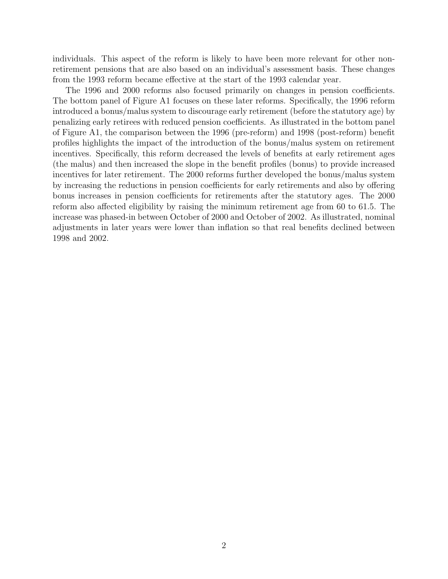individuals. This aspect of the reform is likely to have been more relevant for other nonretirement pensions that are also based on an individual's assessment basis. These changes from the 1993 reform became effective at the start of the 1993 calendar year.

The 1996 and 2000 reforms also focused primarily on changes in pension coefficients. The bottom panel of Figure A1 focuses on these later reforms. Specifically, the 1996 reform introduced a bonus/malus system to discourage early retirement (before the statutory age) by penalizing early retirees with reduced pension coefficients. As illustrated in the bottom panel of Figure A1, the comparison between the 1996 (pre-reform) and 1998 (post-reform) benefit profiles highlights the impact of the introduction of the bonus/malus system on retirement incentives. Specifically, this reform decreased the levels of benefits at early retirement ages (the malus) and then increased the slope in the benefit profiles (bonus) to provide increased incentives for later retirement. The 2000 reforms further developed the bonus/malus system by increasing the reductions in pension coefficients for early retirements and also by offering bonus increases in pension coefficients for retirements after the statutory ages. The 2000 reform also affected eligibility by raising the minimum retirement age from 60 to 61.5. The increase was phased-in between October of 2000 and October of 2002. As illustrated, nominal adjustments in later years were lower than inflation so that real benefits declined between 1998 and 2002.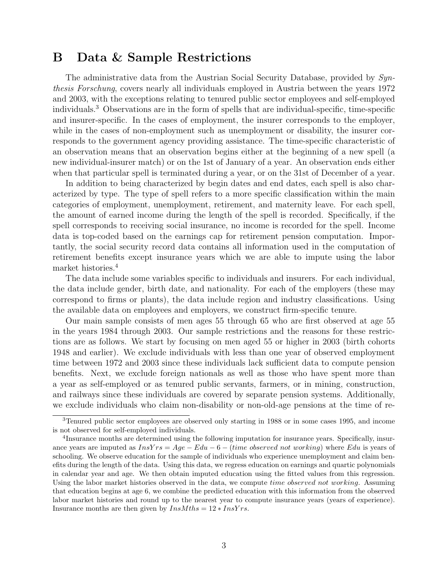### B Data & Sample Restrictions

The administrative data from the Austrian Social Security Database, provided by  $Syn$ thesis Forschung, covers nearly all individuals employed in Austria between the years 1972 and 2003, with the exceptions relating to tenured public sector employees and self-employed individuals.<sup>3</sup> Observations are in the form of spells that are individual-specific, time-specific and insurer-specific. In the cases of employment, the insurer corresponds to the employer, while in the cases of non-employment such as unemployment or disability, the insurer corresponds to the government agency providing assistance. The time-specific characteristic of an observation means that an observation begins either at the beginning of a new spell (a new individual-insurer match) or on the 1st of January of a year. An observation ends either when that particular spell is terminated during a year, or on the 31st of December of a year.

In addition to being characterized by begin dates and end dates, each spell is also characterized by type. The type of spell refers to a more specific classification within the main categories of employment, unemployment, retirement, and maternity leave. For each spell, the amount of earned income during the length of the spell is recorded. Specifically, if the spell corresponds to receiving social insurance, no income is recorded for the spell. Income data is top-coded based on the earnings cap for retirement pension computation. Importantly, the social security record data contains all information used in the computation of retirement benefits except insurance years which we are able to impute using the labor market histories.<sup>4</sup>

The data include some variables specific to individuals and insurers. For each individual, the data include gender, birth date, and nationality. For each of the employers (these may correspond to firms or plants), the data include region and industry classifications. Using the available data on employees and employers, we construct firm-specific tenure.

Our main sample consists of men ages 55 through 65 who are first observed at age 55 in the years 1984 through 2003. Our sample restrictions and the reasons for these restrictions are as follows. We start by focusing on men aged 55 or higher in 2003 (birth cohorts 1948 and earlier). We exclude individuals with less than one year of observed employment time between 1972 and 2003 since these individuals lack sufficient data to compute pension benefits. Next, we exclude foreign nationals as well as those who have spent more than a year as self-employed or as tenured public servants, farmers, or in mining, construction, and railways since these individuals are covered by separate pension systems. Additionally, we exclude individuals who claim non-disability or non-old-age pensions at the time of re-

<sup>3</sup>Tenured public sector employees are observed only starting in 1988 or in some cases 1995, and income is not observed for self-employed individuals.

<sup>&</sup>lt;sup>4</sup>Insurance months are determined using the following imputation for insurance years. Specifically, insurance years are imputed as  $InsYrs = Age - Edu - 6 - (time observed not working)$  where Edu is years of schooling. We observe education for the sample of individuals who experience unemployment and claim benefits during the length of the data. Using this data, we regress education on earnings and quartic polynomials in calendar year and age. We then obtain imputed education using the fitted values from this regression. Using the labor market histories observed in the data, we compute time observed not working. Assuming that education begins at age 6, we combine the predicted education with this information from the observed labor market histories and round up to the nearest year to compute insurance years (years of experience). Insurance months are then given by  $InsMths = 12 * InsYrs$ .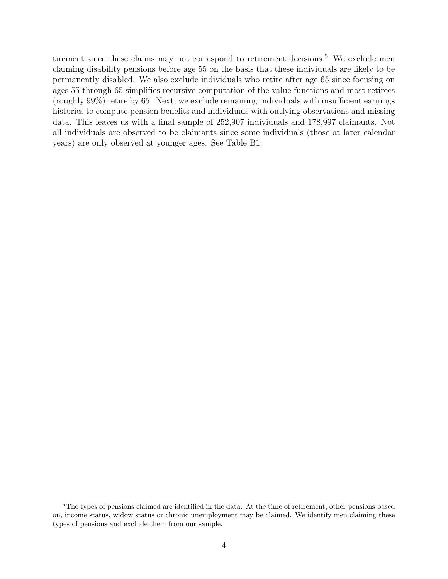tirement since these claims may not correspond to retirement decisions.<sup>5</sup> We exclude men claiming disability pensions before age 55 on the basis that these individuals are likely to be permanently disabled. We also exclude individuals who retire after age 65 since focusing on ages 55 through 65 simplifies recursive computation of the value functions and most retirees (roughly 99%) retire by 65. Next, we exclude remaining individuals with insufficient earnings histories to compute pension benefits and individuals with outlying observations and missing data. This leaves us with a final sample of 252,907 individuals and 178,997 claimants. Not all individuals are observed to be claimants since some individuals (those at later calendar years) are only observed at younger ages. See Table B1.

<sup>&</sup>lt;sup>5</sup>The types of pensions claimed are identified in the data. At the time of retirement, other pensions based on, income status, widow status or chronic unemployment may be claimed. We identify men claiming these types of pensions and exclude them from our sample.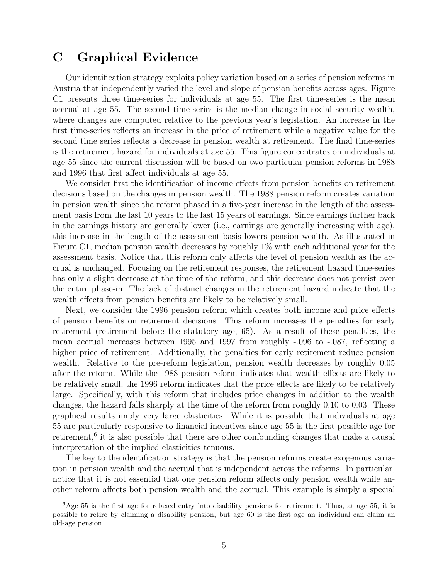# C Graphical Evidence

Our identification strategy exploits policy variation based on a series of pension reforms in Austria that independently varied the level and slope of pension benefits across ages. Figure C1 presents three time-series for individuals at age 55. The first time-series is the mean accrual at age 55. The second time-series is the median change in social security wealth, where changes are computed relative to the previous year's legislation. An increase in the first time-series reflects an increase in the price of retirement while a negative value for the second time series reflects a decrease in pension wealth at retirement. The final time-series is the retirement hazard for individuals at age 55. This figure concentrates on individuals at age 55 since the current discussion will be based on two particular pension reforms in 1988 and 1996 that first affect individuals at age 55.

We consider first the identification of income effects from pension benefits on retirement decisions based on the changes in pension wealth. The 1988 pension reform creates variation in pension wealth since the reform phased in a five-year increase in the length of the assessment basis from the last 10 years to the last 15 years of earnings. Since earnings further back in the earnings history are generally lower (i.e., earnings are generally increasing with age), this increase in the length of the assessment basis lowers pension wealth. As illustrated in Figure C1, median pension wealth decreases by roughly 1% with each additional year for the assessment basis. Notice that this reform only affects the level of pension wealth as the accrual is unchanged. Focusing on the retirement responses, the retirement hazard time-series has only a slight decrease at the time of the reform, and this decrease does not persist over the entire phase-in. The lack of distinct changes in the retirement hazard indicate that the wealth effects from pension benefits are likely to be relatively small.

Next, we consider the 1996 pension reform which creates both income and price effects of pension benefits on retirement decisions. This reform increases the penalties for early retirement (retirement before the statutory age, 65). As a result of these penalties, the mean accrual increases between 1995 and 1997 from roughly -.096 to -.087, reflecting a higher price of retirement. Additionally, the penalties for early retirement reduce pension wealth. Relative to the pre-reform legislation, pension wealth decreases by roughly 0.05 after the reform. While the 1988 pension reform indicates that wealth effects are likely to be relatively small, the 1996 reform indicates that the price effects are likely to be relatively large. Specifically, with this reform that includes price changes in addition to the wealth changes, the hazard falls sharply at the time of the reform from roughly 0.10 to 0.03. These graphical results imply very large elasticities. While it is possible that individuals at age 55 are particularly responsive to financial incentives since age 55 is the first possible age for retirement,<sup>6</sup> it is also possible that there are other confounding changes that make a causal interpretation of the implied elasticities tenuous.

The key to the identification strategy is that the pension reforms create exogenous variation in pension wealth and the accrual that is independent across the reforms. In particular, notice that it is not essential that one pension reform affects only pension wealth while another reform affects both pension wealth and the accrual. This example is simply a special

 ${}^{6}$ Age 55 is the first age for relaxed entry into disability pensions for retirement. Thus, at age 55, it is possible to retire by claiming a disability pension, but age 60 is the first age an individual can claim an old-age pension.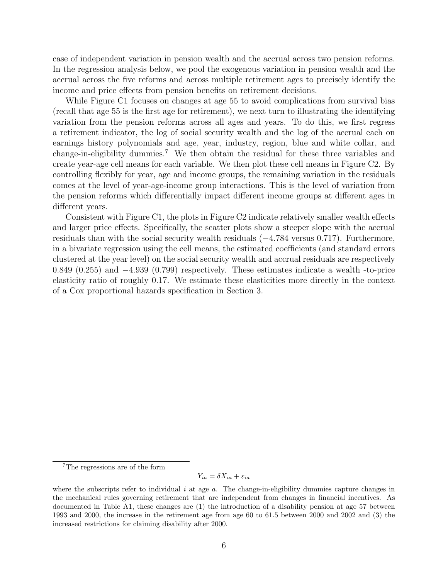case of independent variation in pension wealth and the accrual across two pension reforms. In the regression analysis below, we pool the exogenous variation in pension wealth and the accrual across the five reforms and across multiple retirement ages to precisely identify the income and price effects from pension benefits on retirement decisions.

While Figure C1 focuses on changes at age 55 to avoid complications from survival bias (recall that age 55 is the first age for retirement), we next turn to illustrating the identifying variation from the pension reforms across all ages and years. To do this, we first regress a retirement indicator, the log of social security wealth and the log of the accrual each on earnings history polynomials and age, year, industry, region, blue and white collar, and change-in-eligibility dummies.<sup>7</sup> We then obtain the residual for these three variables and create year-age cell means for each variable. We then plot these cell means in Figure C2. By controlling flexibly for year, age and income groups, the remaining variation in the residuals comes at the level of year-age-income group interactions. This is the level of variation from the pension reforms which differentially impact different income groups at different ages in different years.

Consistent with Figure C1, the plots in Figure C2 indicate relatively smaller wealth effects and larger price effects. Specifically, the scatter plots show a steeper slope with the accrual residuals than with the social security wealth residuals (−4.784 versus 0.717). Furthermore, in a bivariate regression using the cell means, the estimated coefficients (and standard errors clustered at the year level) on the social security wealth and accrual residuals are respectively 0.849 (0.255) and −4.939 (0.799) respectively. These estimates indicate a wealth -to-price elasticity ratio of roughly 0.17. We estimate these elasticities more directly in the context of a Cox proportional hazards specification in Section 3.

#### $Y_{ia} = \delta X_{ia} + \varepsilon_{ia}$

<sup>7</sup>The regressions are of the form

where the subscripts refer to individual  $i$  at age  $a$ . The change-in-eligibility dummies capture changes in the mechanical rules governing retirement that are independent from changes in financial incentives. As documented in Table A1, these changes are (1) the introduction of a disability pension at age 57 between 1993 and 2000, the increase in the retirement age from age 60 to 61.5 between 2000 and 2002 and (3) the increased restrictions for claiming disability after 2000.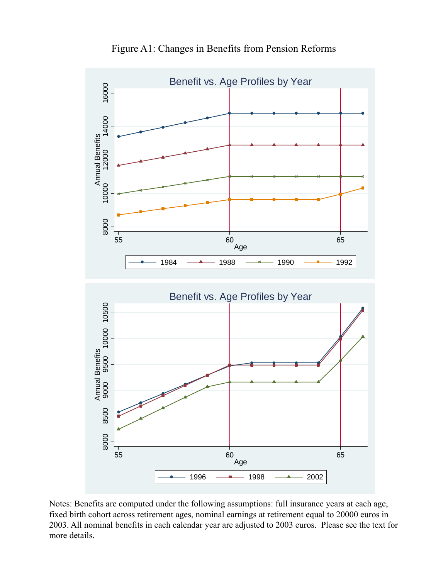

Figure A1: Changes in Benefits from Pension Reforms

Notes: Benefits are computed under the following assumptions: full insurance years at each age, fixed birth cohort across retirement ages, nominal earnings at retirement equal to 20000 euros in 2003. All nominal benefits in each calendar year are adjusted to 2003 euros. Please see the text for more details.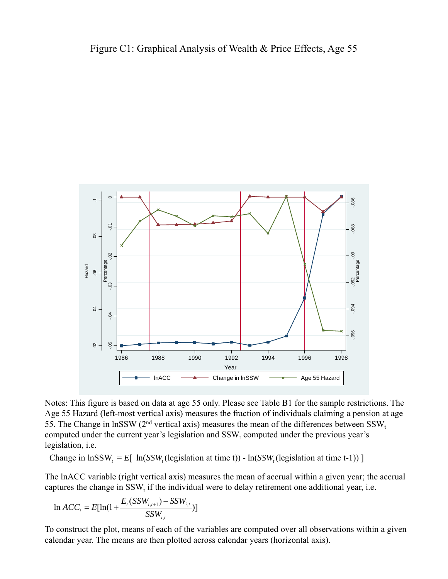

Notes: This figure is based on data at age 55 only. Please see Table B1 for the sample restrictions. The Age 55 Hazard (left-most vertical axis) measures the fraction of individuals claiming a pension at age 55. The Change in lnSSW ( $2<sup>nd</sup>$  vertical axis) measures the mean of the differences between SSW<sub>t</sub> computed under the current year's legislation and  $SSW_t$  computed under the previous year's legislation, i.e.

Change in lnSSW, =  $E[ ln(SSW, (legislation at time t)) - ln(SSW, (legislation at time t-1)) ]$ 

The lnACC variable (right vertical axis) measures the mean of accrual within a given year; the accrual captures the change in  $SSW<sub>t</sub>$  if the individual were to delay retirement one additional year, i.e.

$$
\ln ACC_{t} = E[\ln(1 + \frac{E_{t}(SSW_{i,t+1}) - SSW_{i,t}}{SSW_{i,t}})]
$$

To construct the plot, means of each of the variables are computed over all observations within a given calendar year. The means are then plotted across calendar years (horizontal axis).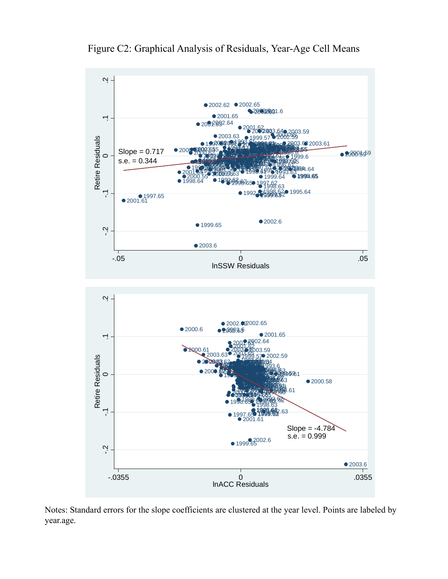

Figure C2: Graphical Analysis of Residuals, Year-Age Cell Means

Notes: Standard errors for the slope coefficients are clustered at the year level. Points are labeled by year.age.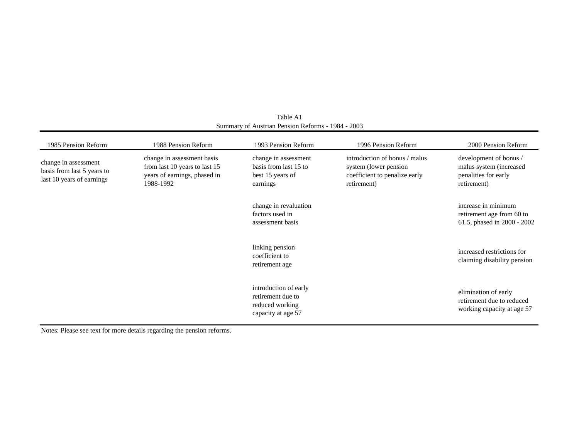| 1985 Pension Reform                                                             | 1988 Pension Reform                                                                                      | 1993 Pension Reform                                                                 | 1996 Pension Reform                                                                                     | 2000 Pension Reform                                                                      |
|---------------------------------------------------------------------------------|----------------------------------------------------------------------------------------------------------|-------------------------------------------------------------------------------------|---------------------------------------------------------------------------------------------------------|------------------------------------------------------------------------------------------|
| change in assessment<br>basis from last 5 years to<br>last 10 years of earnings | change in assessment basis<br>from last 10 years to last 15<br>years of earnings, phased in<br>1988-1992 | change in assessment<br>basis from last 15 to<br>best 15 years of<br>earnings       | introduction of bonus / malus<br>system (lower pension)<br>coefficient to penalize early<br>retirement) | development of bonus /<br>malus system (increased<br>penalities for early<br>retirement) |
|                                                                                 |                                                                                                          | change in revaluation<br>factors used in<br>assessment basis                        |                                                                                                         | increase in minimum<br>retirement age from 60 to<br>61.5, phased in 2000 - 2002          |
|                                                                                 |                                                                                                          | linking pension<br>coefficient to<br>retirement age                                 |                                                                                                         | increased restrictions for<br>claiming disability pension                                |
|                                                                                 |                                                                                                          | introduction of early<br>retirement due to<br>reduced working<br>capacity at age 57 |                                                                                                         | elimination of early<br>retirement due to reduced<br>working capacity at age 57          |

Summary of Austrian Pension Reforms - 1984 - 2003 Table A1

Notes: Please see text for more details regarding the pension reforms.